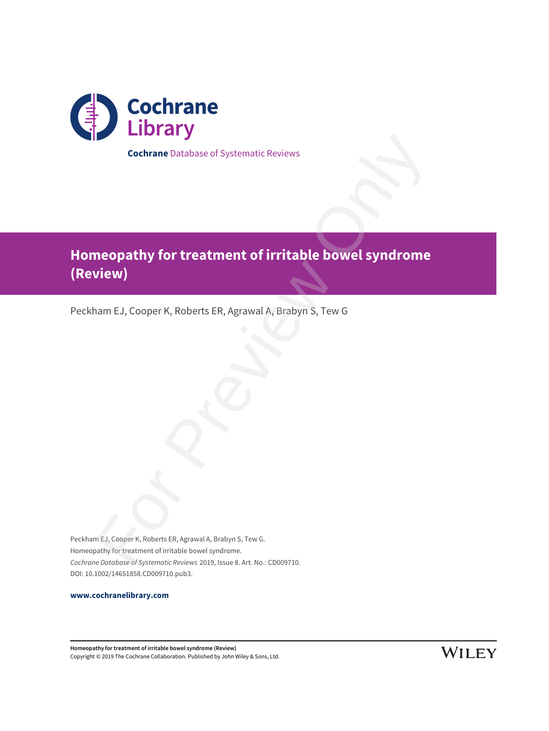

**Cochrane** Database of Systematic Reviews

# **Homeopathy for treatment of irritable bowel syndrome (Review)** Cochrane Database of Systematic Reviews<br> **AREO DATA FOR THE VIEW AND A STATE OF SAMPLE DEATER**<br>
Nam EJ, Cooper K, Roberts ER, Agrawal A, Brabyn S, Tew G<br>
Mit, Cooper K, Roberts ER, Agrawal A, Brabyn S, Tew G<br>
Mit, Cooper K

Peckham EJ, Cooper K, Roberts ER, Agrawal A, Brabyn S, Tew G

Peckham EJ, Cooper K, Roberts ER, Agrawal A, Brabyn S, Tew G. Homeopathy for treatment of irritable bowel syndrome. Cochrane Database of Systematic Reviews 2019, Issue 8. Art. No.: CD009710. DOI: 10.1002/14651858.CD009710.pub3.

**www.cochranelibrary.com**

**Homeopathy for treatment of irritable bowel syndrome (Review)** Copyright © 2019 The Cochrane Collaboration. Published by John Wiley & Sons, Ltd.

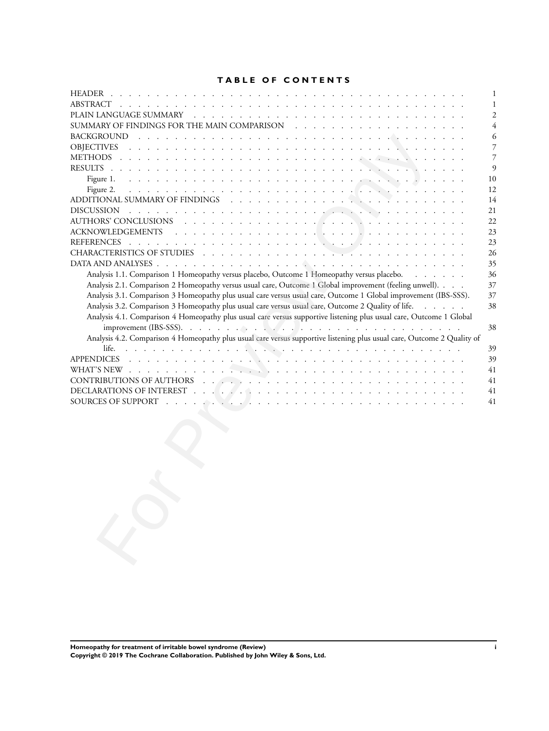# **TABLE OF CONTENTS**

| <b>HEADER</b>                                                                                                                                                                                                                                      | 1              |
|----------------------------------------------------------------------------------------------------------------------------------------------------------------------------------------------------------------------------------------------------|----------------|
| ABSTRACT<br>a constitution of the constitution of the constitution of the constitution of the constitution of the constitution of the constitution of the constitution of the constitution of the constitution of the constitution of the          | 1              |
|                                                                                                                                                                                                                                                    | $\overline{2}$ |
|                                                                                                                                                                                                                                                    | 4              |
| <b>BACKGROUND</b><br>a constitution of the constitution of the constitution of the constitution of the constitution of the constitution of the constitution of the constitution of the constitution of the constitution of the constitution of the | 6              |
| <b>OBJECTIVES</b>                                                                                                                                                                                                                                  | 7              |
| <b>METHODS</b>                                                                                                                                                                                                                                     | 7              |
| <b>RESULTS</b>                                                                                                                                                                                                                                     | $\overline{Q}$ |
| Figure 1.                                                                                                                                                                                                                                          | 10             |
| Figure 2.                                                                                                                                                                                                                                          | 12             |
|                                                                                                                                                                                                                                                    | 14             |
| <b>DISCUSSION</b>                                                                                                                                                                                                                                  | 21             |
|                                                                                                                                                                                                                                                    | 22             |
|                                                                                                                                                                                                                                                    | 23             |
| <b>REFERENCES</b>                                                                                                                                                                                                                                  | 23             |
|                                                                                                                                                                                                                                                    | 26             |
|                                                                                                                                                                                                                                                    | 35             |
| Analysis 1.1. Comparison 1 Homeopathy versus placebo, Outcome 1 Homeopathy versus placebo.                                                                                                                                                         | 36             |
| Analysis 2.1. Comparison 2 Homeopathy versus usual care, Outcome 1 Global improvement (feeling unwell).                                                                                                                                            | 37             |
| Analysis 3.1. Comparison 3 Homeopathy plus usual care versus usual care, Outcome 1 Global improvement (IBS-SSS).                                                                                                                                   | 37             |
| Analysis 3.2. Comparison 3 Homeopathy plus usual care versus usual care, Outcome 2 Quality of life.                                                                                                                                                | 38             |
| Analysis 4.1. Comparison 4 Homeopathy plus usual care versus supportive listening plus usual care, Outcome 1 Global                                                                                                                                |                |
|                                                                                                                                                                                                                                                    | 38             |
| Analysis 4.2. Comparison 4 Homeopathy plus usual care versus supportive listening plus usual care, Outcome 2 Quality of                                                                                                                            |                |
| life.                                                                                                                                                                                                                                              | 39             |
|                                                                                                                                                                                                                                                    | 39             |
|                                                                                                                                                                                                                                                    | 41             |
|                                                                                                                                                                                                                                                    | 41             |
|                                                                                                                                                                                                                                                    | 41             |
| SOURCES OF SUPPORT                                                                                                                                                                                                                                 | 41             |
|                                                                                                                                                                                                                                                    |                |
|                                                                                                                                                                                                                                                    |                |
|                                                                                                                                                                                                                                                    |                |
|                                                                                                                                                                                                                                                    |                |
|                                                                                                                                                                                                                                                    |                |
|                                                                                                                                                                                                                                                    |                |
|                                                                                                                                                                                                                                                    |                |
|                                                                                                                                                                                                                                                    |                |
|                                                                                                                                                                                                                                                    |                |
|                                                                                                                                                                                                                                                    |                |
|                                                                                                                                                                                                                                                    |                |
|                                                                                                                                                                                                                                                    |                |
|                                                                                                                                                                                                                                                    |                |
|                                                                                                                                                                                                                                                    |                |
|                                                                                                                                                                                                                                                    |                |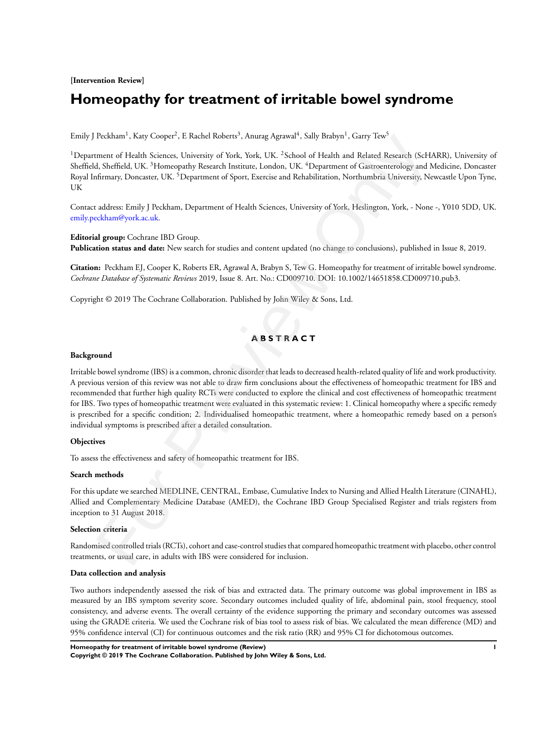**[Intervention Review]**

# **Homeopathy for treatment of irritable bowel syndrome**

Emily J Peckham<sup>1</sup>, Katy Cooper<sup>2</sup>, E Rachel Roberts<sup>3</sup>, Anurag Agrawal<sup>4</sup>, Sally Brabyn<sup>1</sup>, Garry Tew<sup>5</sup>

<sup>1</sup>Department of Health Sciences, University of York, York, UK. <sup>2</sup>School of Health and Related Research (ScHARR), University of Sheffield, Sheffield, UK. <sup>3</sup>Homeopathy Research Institute, London, UK. <sup>4</sup>Department of Gastroenterology and Medicine, Doncaster Royal Infirmary, Doncaster, UK. <sup>5</sup>Department of Sport, Exercise and Rehabilitation, Northumbria University, Newcastle Upon Tyne, UK

Contact address: Emily J Peckham, Department of Health Sciences, University of York, Heslington, York, - None -, Y010 5DD, UK. emily.peckham@york.ac.uk.

**Editorial group:** Cochrane IBD Group. **Publication status and date:** New search for studies and content updated (no change to conclusions), published in Issue 8, 2019.

**Citation:** Peckham EJ, Cooper K, Roberts ER, Agrawal A, Brabyn S, Tew G. Homeopathy for treatment of irritable bowel syndrome. *Cochrane Database of Systematic Reviews* 2019, Issue 8. Art. No.: CD009710. DOI: 10.1002/14651858.CD009710.pub3.

Copyright © 2019 The Cochrane Collaboration. Published by John Wiley & Sons, Ltd.

**A B S T R A C T**

#### **Background**

Irritable bowel syndrome (IBS) is a common, chronic disorder that leads to decreased health-related quality of life and work productivity. A previous version of this review was not able to draw firm conclusions about the effectiveness of homeopathic treatment for IBS and recommended that further high quality RCTs were conducted to explore the clinical and cost effectiveness of homeopathic treatment for IBS. Two types of homeopathic treatment were evaluated in this systematic review: 1. Clinical homeopathy where a specific remedy is prescribed for a specific condition; 2. Individualised homeopathic treatment, where a homeopathic remedy based on a person's individual symptoms is prescribed after a detailed consultation. Peckham", Katy Cooper", E. Bachel Koberrs", Amung Agrawal", Salty Brabyn", Garry Tew"<br>
mentar of Telath Sciences, University of Yock, Vock, UK. <sup>2</sup>School of Health and Related Research (SelT<br>
(Math Sciences, UK, Phone opti

#### **Objectives**

To assess the effectiveness and safety of homeopathic treatment for IBS.

#### **Search methods**

For this update we searched MEDLINE, CENTRAL, Embase, Cumulative Index to Nursing and Allied Health Literature (CINAHL), Allied and Complementary Medicine Database (AMED), the Cochrane IBD Group Specialised Register and trials registers from inception to 31 August 2018.

#### **Selection criteria**

Randomised controlled trials (RCTs), cohort and case-control studies that compared homeopathic treatment with placebo, other control treatments, or usual care, in adults with IBS were considered for inclusion.

#### **Data collection and analysis**

Two authors independently assessed the risk of bias and extracted data. The primary outcome was global improvement in IBS as measured by an IBS symptom severity score. Secondary outcomes included quality of life, abdominal pain, stool frequency, stool consistency, and adverse events. The overall certainty of the evidence supporting the primary and secondary outcomes was assessed using the GRADE criteria. We used the Cochrane risk of bias tool to assess risk of bias. We calculated the mean difference (MD) and 95% confidence interval (CI) for continuous outcomes and the risk ratio (RR) and 95% CI for dichotomous outcomes.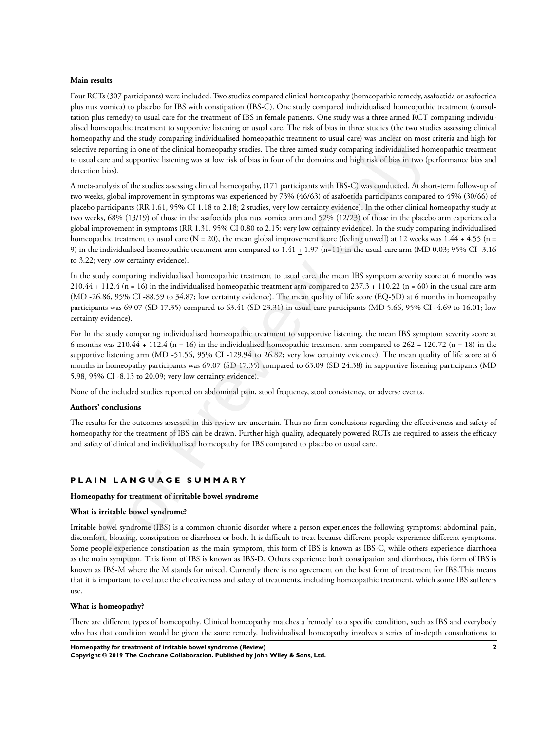#### **Main results**

Four RCTs (307 participants) were included. Two studies compared clinical homeopathy (homeopathic remedy, asafoetida or asafoetida plus nux vomica) to placebo for IBS with constipation (IBS-C). One study compared individualised homeopathic treatment (consultation plus remedy) to usual care for the treatment of IBS in female patients. One study was a three armed RCT comparing individualised homeopathic treatment to supportive listening or usual care. The risk of bias in three studies (the two studies assessing clinical homeopathy and the study comparing individualised homeopathic treatment to usual care) was unclear on most criteria and high for selective reporting in one of the clinical homeopathy studies. The three armed study comparing individualised homeopathic treatment to usual care and supportive listening was at low risk of bias in four of the domains and high risk of bias in two (performance bias and detection bias).

A meta-analysis of the studies assessing clinical homeopathy, (171 participants with IBS-C) was conducted. At short-term follow-up of two weeks, global improvement in symptoms was experienced by 73% (46/63) of asafoetida participants compared to 45% (30/66) of placebo participants (RR 1.61, 95% CI 1.18 to 2.18; 2 studies, very low certainty evidence). In the other clinical homeopathy study at two weeks, 68% (13/19) of those in the asafoetida plus nux vomica arm and 52% (12/23) of those in the placebo arm experienced a global improvement in symptoms (RR 1.31, 95% CI 0.80 to 2.15; very low certainty evidence). In the study comparing individualised homeopathic treatment to usual care (N = 20), the mean global improvement score (feeling unwell) at 12 weeks was  $1.44 + 4.55$  (n = 9) in the individualised homeopathic treatment arm compared to 1.41 + 1.97 (n=11) in the usual care arm (MD 0.03; 95% CI -3.16 to 3.22; very low certainty evidence). ushy and the snudy comparing individual homonopathic rearment to usual care) was unclear on most<br>of the study and the studies assessing diricular bonochaly studies. The three armed study comparing individualised home<br>are

In the study comparing individualised homeopathic treatment to usual care, the mean IBS symptom severity score at 6 months was 210.44 + 112.4 (n = 16) in the individualised homeopathic treatment arm compared to  $237.3 + 110.22$  (n = 60) in the usual care arm (MD -26.86, 95% CI -88.59 to 34.87; low certainty evidence). The mean quality of life score (EQ-5D) at 6 months in homeopathy participants was 69.07 (SD 17.35) compared to 63.41 (SD 23.31) in usual care participants (MD 5.66, 95% CI -4.69 to 16.01; low certainty evidence).

For In the study comparing individualised homeopathic treatment to supportive listening, the mean IBS symptom severity score at 6 months was  $210.44 + 112.4$  (n = 16) in the individualised homeopathic treatment arm compared to  $262 + 120.72$  (n = 18) in the supportive listening arm (MD -51.56, 95% CI -129.94 to 26.82; very low certainty evidence). The mean quality of life score at 6 months in homeopathy participants was 69.07 (SD 17.35) compared to 63.09 (SD 24.38) in supportive listening participants (MD 5.98, 95% CI -8.13 to 20.09; very low certainty evidence).

None of the included studies reported on abdominal pain, stool frequency, stool consistency, or adverse events.

#### **Authors' conclusions**

The results for the outcomes assessed in this review are uncertain. Thus no firm conclusions regarding the effectiveness and safety of homeopathy for the treatment of IBS can be drawn. Further high quality, adequately powered RCTs are required to assess the efficacy and safety of clinical and individualised homeopathy for IBS compared to placebo or usual care.

#### **P L A I N L A N G U A G E S U M M A R Y**

#### **Homeopathy for treatment of irritable bowel syndrome**

#### **What is irritable bowel syndrome?**

Irritable bowel syndrome (IBS) is a common chronic disorder where a person experiences the following symptoms: abdominal pain, discomfort, bloating, constipation or diarrhoea or both. It is difficult to treat because different people experience different symptoms. Some people experience constipation as the main symptom, this form of IBS is known as IBS-C, while others experience diarrhoea as the main symptom. This form of IBS is known as IBS-D. Others experience both constipation and diarrhoea, this form of IBS is known as IBS-M where the M stands for mixed. Currently there is no agreement on the best form of treatment for IBS.This means that it is important to evaluate the effectiveness and safety of treatments, including homeopathic treatment, which some IBS sufferers use.

#### **What is homeopathy?**

There are different types of homeopathy. Clinical homeopathy matches a 'remedy' to a specific condition, such as IBS and everybody who has that condition would be given the same remedy. Individualised homeopathy involves a series of in-depth consultations to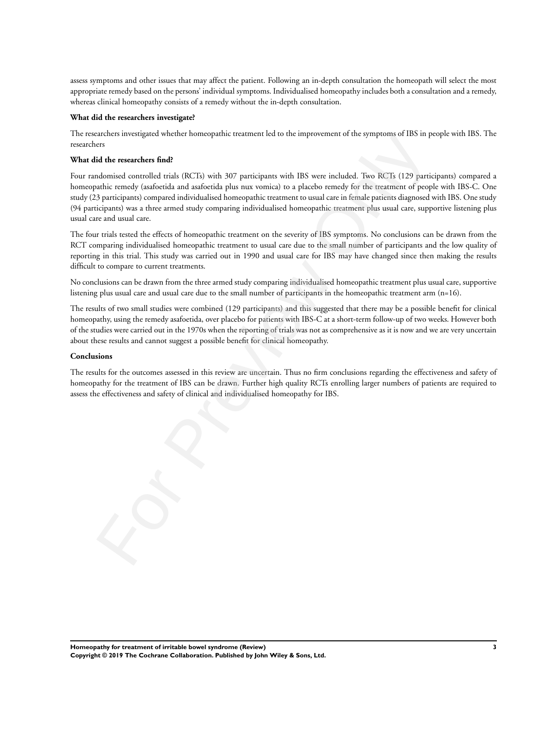assess symptoms and other issues that may affect the patient. Following an in-depth consultation the homeopath will select the most appropriate remedy based on the persons' individual symptoms. Individualised homeopathy includes both a consultation and a remedy, whereas clinical homeopathy consists of a remedy without the in-depth consultation.

#### **What did the researchers investigate?**

The researchers investigated whether homeopathic treatment led to the improvement of the symptoms of IBS in people with IBS. The researchers

#### **What did the researchers find?**

Four randomised controlled trials (RCTs) with 307 participants with IBS were included. Two RCTs (129 participants) compared a homeopathic remedy (asafoetida and asafoetida plus nux vomica) to a placebo remedy for the treatment of people with IBS-C. One study (23 participants) compared individualised homeopathic treatment to usual care in female patients diagnosed with IBS. One study (94 participants) was a three armed study comparing individualised homeopathic treatment plus usual care, supportive listening plus usual care and usual care. extrains any expansion with the Tollow<br>particular strengthening control in the magnitude of the method of the<br>dominal control of the researchers find<br>this remedy (sasforedia and associated plus mux variical van a place<br>be

The four trials tested the effects of homeopathic treatment on the severity of IBS symptoms. No conclusions can be drawn from the RCT comparing individualised homeopathic treatment to usual care due to the small number of participants and the low quality of reporting in this trial. This study was carried out in 1990 and usual care for IBS may have changed since then making the results difficult to compare to current treatments.

No conclusions can be drawn from the three armed study comparing individualised homeopathic treatment plus usual care, supportive listening plus usual care and usual care due to the small number of participants in the homeopathic treatment arm (n=16).

The results of two small studies were combined (129 participants) and this suggested that there may be a possible benefit for clinical homeopathy, using the remedy asafoetida, over placebo for patients with IBS-C at a short-term follow-up of two weeks. However both of the studies were carried out in the 1970s when the reporting of trials was not as comprehensive as it is now and we are very uncertain about these results and cannot suggest a possible benefit for clinical homeopathy.

#### **Conclusions**

The results for the outcomes assessed in this review are uncertain. Thus no firm conclusions regarding the effectiveness and safety of homeopathy for the treatment of IBS can be drawn. Further high quality RCTs enrolling larger numbers of patients are required to assess the effectiveness and safety of clinical and individualised homeopathy for IBS.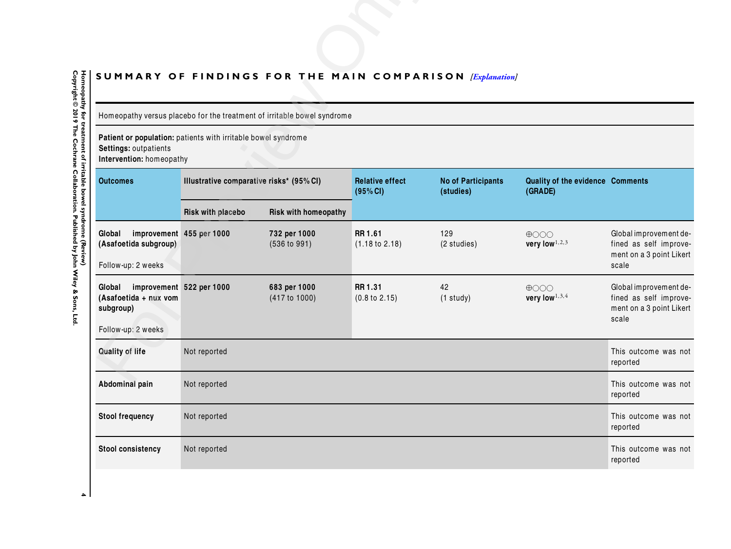# SUMMARY OF FINDINGS FOR THE MAIN COMPARISON *[Explanation]*

|                                                                                                                    |                                          |                                                                         |                                      | SUMMARY OF FINDINGS FOR THE MAIN COMPARISON [Explanation] |                                             |                                                                                       |
|--------------------------------------------------------------------------------------------------------------------|------------------------------------------|-------------------------------------------------------------------------|--------------------------------------|-----------------------------------------------------------|---------------------------------------------|---------------------------------------------------------------------------------------|
|                                                                                                                    |                                          | Homeopathy versus placebo for the treatment of irritable bowel syndrome |                                      |                                                           |                                             |                                                                                       |
| Patient or population: patients with irritable bowel syndrome<br>Settings: outpatients<br>Intervention: homeopathy |                                          |                                                                         |                                      |                                                           |                                             |                                                                                       |
| <b>Outcomes</b>                                                                                                    | Illustrative comparative risks* (95% CI) |                                                                         | <b>Relative effect</b><br>(95% CI)   | <b>No of Participants</b><br>(studies)                    | Quality of the evidence Comments<br>(GRADE) |                                                                                       |
|                                                                                                                    | Risk with placebo                        | Risk with homeopathy                                                    |                                      |                                                           |                                             |                                                                                       |
| Global<br>improvement 455 per 1000<br>(Asafoetida subgroup)<br>Follow-up: 2 weeks                                  |                                          | 732 per 1000<br>(536 to 991)                                            | RR 1.61<br>$(1.18 \text{ to } 2.18)$ | 129<br>(2 studies)                                        | $\bigoplus$ OOO<br>very low $^{1,2,3}$      | Global improvement de-<br>fined as self improve-<br>ment on a 3 point Likert<br>scale |
| Global<br>(Asafoetida + nux vom<br>subgroup)<br>Follow-up: 2 weeks                                                 | improvement 522 per 1000                 | 683 per 1000<br>(417 to 1000)                                           | RR 1.31<br>$(0.8 \text{ to } 2.15)$  | 42<br>$(1$ study)                                         | $\bigoplus$ OOO<br>very low $^{1,3,4}$      | Global improvement de-<br>fined as self improve-<br>ment on a 3 point Likert<br>scale |
| <b>Quality of life</b>                                                                                             | Not reported                             |                                                                         |                                      |                                                           |                                             | This outcome was not<br>reported                                                      |
| Abdominal pain                                                                                                     | Not reported                             |                                                                         |                                      |                                                           |                                             | This outcome was not<br>reported                                                      |
| <b>Stool frequency</b>                                                                                             | Not reported                             |                                                                         |                                      |                                                           |                                             | This outcome was not<br>reported                                                      |
| <b>Stool consistency</b>                                                                                           | Not reported                             |                                                                         |                                      |                                                           |                                             | This outcome was not<br>reported                                                      |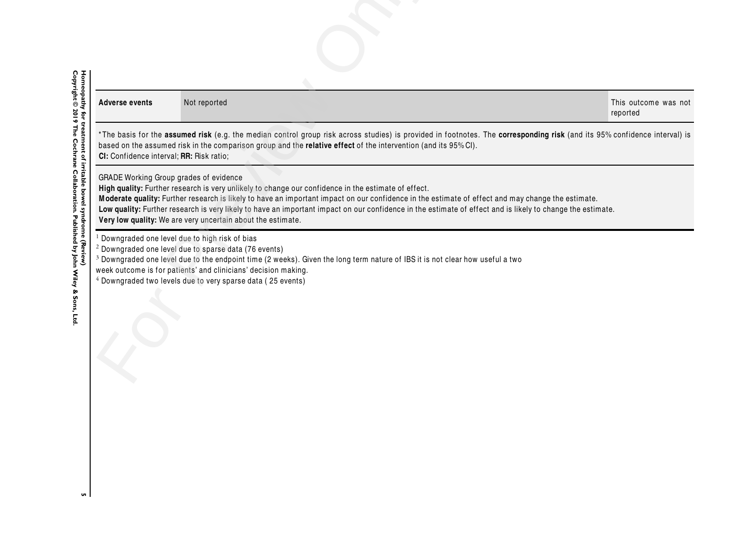| <b>Adverse events</b> | Not reported                                                                                                                                                       | This outcome was not<br>reported                                                                                                                                                                                                                                                                                |  |  |
|-----------------------|--------------------------------------------------------------------------------------------------------------------------------------------------------------------|-----------------------------------------------------------------------------------------------------------------------------------------------------------------------------------------------------------------------------------------------------------------------------------------------------------------|--|--|
|                       | High quality: Further research is very unlikely to change our confidence in the estimate of effect.<br>Very low quality: We are very uncertain about the estimate. | Moderate quality: Further research is likely to have an important impact on our confidence in the estimate of effect and may change the estimate.<br>Low quality: Further research is very likely to have an important impact on our confidence in the estimate of effect and is likely to change the estimate. |  |  |
|                       | <sup>1</sup> Downgraded one level due to high risk of bias<br><sup>2</sup> Downgraded one level due to sparse data (76 events)                                     | <sup>3</sup> Downgraded one level due to the endpoint time (2 weeks). Given the long term nature of IBS it is not clear how useful a two                                                                                                                                                                        |  |  |

**5 Homeopathy for treatment of irritable bowel syndrome (Review)**

 $\sqrt{2}$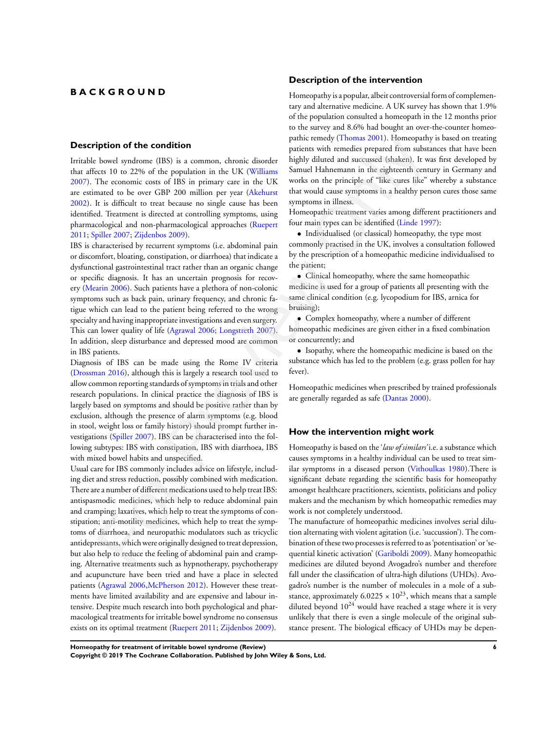# **B A C K G R O U N D**

#### **Description of the condition**

Irritable bowel syndrome (IBS) is a common, chronic disorder that affects 10 to 22% of the population in the UK (Williams 2007). The economic costs of IBS in primary care in the UK are estimated to be over GBP 200 million per year (Akehurst 2002). It is difficult to treat because no single cause has been identified. Treatment is directed at controlling symptoms, using pharmacological and non-pharmacological approaches (Ruepert 2011; Spiller 2007; Zijdenbos 2009).

IBS is characterised by recurrent symptoms (i.e. abdominal pain or discomfort, bloating, constipation, or diarrhoea) that indicate a dysfunctional gastrointestinal tract rather than an organic change or specific diagnosis. It has an uncertain prognosis for recovery (Mearin 2006). Such patients have a plethora of non-colonic symptoms such as back pain, urinary frequency, and chronic fatigue which can lead to the patient being referred to the wrong specialty and having inappropriate investigations and even surgery. This can lower quality of life (Agrawal 2006; Longstreth 2007). In addition, sleep disturbance and depressed mood are common in IBS patients. **spirion of the condition**<br>
parties remetally (Thomas 2001). Hence the based (males) and the based by both spiritual and accuse of the spiritual and accuse of the spiritual and accuse of the spiritual and the spiritual an

Diagnosis of IBS can be made using the Rome IV criteria (Drossman 2016), although this is largely a research tool used to allow common reporting standards of symptoms in trials and other research populations. In clinical practice the diagnosis of IBS is largely based on symptoms and should be positive rather than by exclusion, although the presence of alarm symptoms (e.g. blood in stool, weight loss or family history) should prompt further investigations (Spiller 2007). IBS can be characterised into the following subtypes: IBS with constipation, IBS with diarrhoea, IBS with mixed bowel habits and unspecified.

Usual care for IBS commonly includes advice on lifestyle, including diet and stress reduction, possibly combined with medication. There are a number of different medications used to help treat IBS: antispasmodic medicines, which help to reduce abdominal pain and cramping; laxatives, which help to treat the symptoms of constipation; anti-motility medicines, which help to treat the symptoms of diarrhoea, and neuropathic modulators such as tricyclic antidepressants, which were originally designed to treat depression, but also help to reduce the feeling of abdominal pain and cramping. Alternative treatments such as hypnotherapy, psychotherapy and acupuncture have been tried and have a place in selected patients (Agrawal 2006,McPherson 2012). However these treatments have limited availability and are expensive and labour intensive. Despite much research into both psychological and pharmacological treatments for irritable bowel syndrome no consensus exists on its optimal treatment (Ruepert 2011; Zijdenbos 2009).

#### **Description of the intervention**

Homeopathy is a popular, albeit controversial form of complementary and alternative medicine. A UK survey has shown that 1.9% of the population consulted a homeopath in the 12 months prior to the survey and 8.6% had bought an over-the-counter homeopathic remedy (Thomas 2001). Homeopathy is based on treating patients with remedies prepared from substances that have been highly diluted and succussed (shaken). It was first developed by Samuel Hahnemann in the eighteenth century in Germany and works on the principle of "like cures like" whereby a substance that would cause symptoms in a healthy person cures those same symptoms in illness.

Homeopathic treatment varies among different practitioners and four main types can be identified (Linde 1997):

• Individualised (or classical) homeopathy, the type most commonly practised in the UK, involves a consultation followed by the prescription of a homeopathic medicine individualised to the patient;

• Clinical homeopathy, where the same homeopathic medicine is used for a group of patients all presenting with the same clinical condition (e.g. lycopodium for IBS, arnica for bruising);

• Complex homeopathy, where a number of different homeopathic medicines are given either in a fixed combination or concurrently; and

• Isopathy, where the homeopathic medicine is based on the substance which has led to the problem (e.g. grass pollen for hay fever).

Homeopathic medicines when prescribed by trained professionals are generally regarded as safe (Dantas 2000).

#### **How the intervention might work**

Homeopathy is based on the '*law of similars'* i.e. a substance which causes symptoms in a healthy individual can be used to treat similar symptoms in a diseased person (Vithoulkas 1980).There is significant debate regarding the scientific basis for homeopathy amongst healthcare practitioners, scientists, politicians and policy makers and the mechanism by which homeopathic remedies may work is not completely understood.

The manufacture of homeopathic medicines involves serial dilution alternating with violent agitation (i.e. 'succussion'). The combination of these two processes is referred to as 'potentisation' or 'sequential kinetic activation' (Gariboldi 2009). Many homeopathic medicines are diluted beyond Avogadro's number and therefore fall under the classification of ultra-high dilutions (UHDs). Avogadro's number is the number of molecules in a mole of a substance, approximately  $6.0225 \times 10^{23}$ , which means that a sample diluted beyond  $10^{24}$  would have reached a stage where it is very unlikely that there is even a single molecule of the original substance present. The biological efficacy of UHDs may be depen-

**Homeopathy for treatment of irritable bowel syndrome (Review) 6 Copyright © 2019 The Cochrane Collaboration. Published by John Wiley & Sons, Ltd.**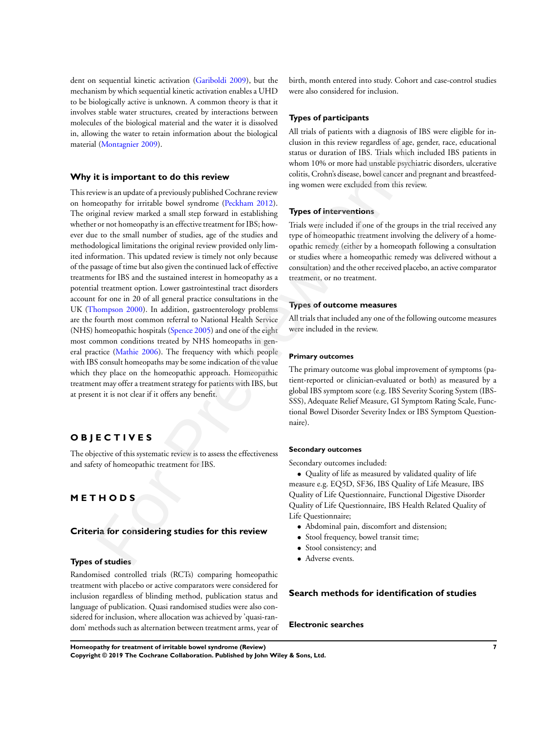dent on sequential kinetic activation (Gariboldi 2009), but the mechanism by which sequential kinetic activation enables a UHD to be biologically active is unknown. A common theory is that it involves stable water structures, created by interactions between molecules of the biological material and the water it is dissolved in, allowing the water to retain information about the biological material (Montagnier 2009).

#### **Why it is important to do this review**

This review is an update of a previously published Cochrane review on homeopathy for irritable bowel syndrome (Peckham 2012). The original review marked a small step forward in establishing whether or not homeopathy is an effective treatment for IBS; however due to the small number of studies, age of the studies and methodological limitations the original review provided only limited information. This updated review is timely not only because of the passage of time but also given the continued lack of effective treatments for IBS and the sustained interest in homeopathy as a potential treatment option. Lower gastrointestinal tract disorders account for one in 20 of all general practice consultations in the UK (Thompson 2000). In addition, gastroenterology problems are the fourth most common referral to National Health Service (NHS) homeopathic hospitals (Spence 2005) and one of the eight most common conditions treated by NHS homeopaths in general practice (Mathie 2006). The frequency with which people with IBS consult homeopaths may be some indication of the value which they place on the homeopathic approach. Homeopathic treatment may offer a treatment strategy for patients with IBS, but at present it is not clear if it offers any benefit. Europe when the channel momintum about the buological contribution of this review when the stock of this restrict vector of the control of this review when 10% control with review when the channel of the state of a proper

# **O B J E C T I V E S**

The objective of this systematic review is to assess the effectiveness and safety of homeopathic treatment for IBS.

# **M E T H O D S**

#### **Criteria for considering studies for this review**

#### **Types of studies**

Randomised controlled trials (RCTs) comparing homeopathic treatment with placebo or active comparators were considered for inclusion regardless of blinding method, publication status and language of publication. Quasi randomised studies were also considered for inclusion, where allocation was achieved by 'quasi-random' methods such as alternation between treatment arms, year of birth, month entered into study. Cohort and case-control studies were also considered for inclusion.

#### **Types of participants**

All trials of patients with a diagnosis of IBS were eligible for inclusion in this review regardless of age, gender, race, educational status or duration of IBS. Trials which included IBS patients in whom 10% or more had unstable psychiatric disorders, ulcerative colitis, Crohn's disease, bowel cancer and pregnant and breastfeeding women were excluded from this review.

#### **Types of interventions**

Trials were included if one of the groups in the trial received any type of homeopathic treatment involving the delivery of a homeopathic remedy (either by a homeopath following a consultation or studies where a homeopathic remedy was delivered without a consultation) and the other received placebo, an active comparator treatment, or no treatment.

#### **Types of outcome measures**

All trials that included any one of the following outcome measures were included in the review.

#### **Primary outcomes**

The primary outcome was global improvement of symptoms (patient-reported or clinician-evaluated or both) as measured by a global IBS symptom score (e.g. IBS Severity Scoring System (IBS-SSS), Adequate Relief Measure, GI Symptom Rating Scale, Functional Bowel Disorder Severity Index or IBS Symptom Questionnaire).

#### **Secondary outcomes**

Secondary outcomes included:

• Quality of life as measured by validated quality of life measure e.g. EQ5D, SF36, IBS Quality of Life Measure, IBS Quality of Life Questionnaire, Functional Digestive Disorder Quality of Life Questionnaire, IBS Health Related Quality of Life Questionnaire;

- Abdominal pain, discomfort and distension;
- Stool frequency, bowel transit time;
- Stool consistency; and
- Adverse events.

# **Search methods for identification of studies**

#### **Electronic searches**

**Homeopathy for treatment of irritable bowel syndrome (Review) 7**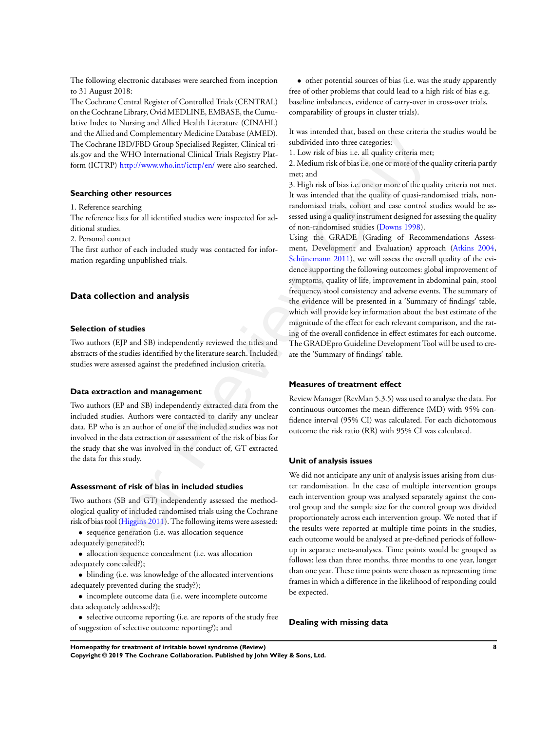The following electronic databases were searched from inception to 31 August 2018:

The Cochrane Central Register of Controlled Trials (CENTRAL) on the Cochrane Library, OvidMEDLINE, EMBASE, the Cumulative Index to Nursing and Allied Health Literature (CINAHL) and the Allied and Complementary Medicine Database (AMED). The Cochrane IBD/FBD Group Specialised Register, Clinical trials.gov and the WHO International Clinical Trials Registry Platform (ICTRP) http://www.who.int/ictrp/en/ were also searched.

#### **Searching other resources**

1. Reference searching

The reference lists for all identified studies were inspected for additional studies.

2. Personal contact

The first author of each included study was contacted for information regarding unpublished trials.

#### **Data collection and analysis**

#### **Selection of studies**

Two authors (EJP and SB) independently reviewed the titles and abstracts of the studies identified by the literature search. Included studies were assessed against the predefined inclusion criteria.

#### **Data extraction and management**

Two authors (EP and SB) independently extracted data from the included studies. Authors were contacted to clarify any unclear data. EP who is an author of one of the included studies was not involved in the data extraction or assessment of the risk of bias for the study that she was involved in the conduct of, GT extracted the data for this study.

#### **Assessment of risk of bias in included studies**

Two authors (SB and GT) independently assessed the methodological quality of included randomised trials using the Cochrane risk of bias tool (Higgins 2011). The following items were assessed:

• sequence generation (i.e. was allocation sequence adequately generated?);

• allocation sequence concealment (i.e. was allocation adequately concealed?);

- blinding (i.e. was knowledge of the allocated interventions adequately prevented during the study?);
	- incomplete outcome data (i.e. were incomplete outcome
- data adequately addressed?);
- selective outcome reporting (i.e. are reports of the study free of suggestion of selective outcome reporting?); and

• other potential sources of bias (i.e. was the study apparently free of other problems that could lead to a high risk of bias e.g. baseline imbalances, evidence of carry-over in cross-over trials, comparability of groups in cluster trials).

It was intended that, based on these criteria the studies would be subdivided into three categories:

1. Low risk of bias i.e. all quality criteria met;

2. Medium risk of bias i.e. one or more of the quality criteria partly met; and

3. High risk of bias i.e. one or more of the quality criteria not met. It was intended that the quality of quasi-randomised trials, nonrandomised trials, cohort and case control studies would be assessed using a quality instrument designed for assessing the quality of non-randomised studies (Downs 1998).

Using the GRADE (Grading of Recommendations Assessment, Development and Evaluation) approach (Atkins 2004, Schünemann 2011), we will assess the overall quality of the evidence supporting the following outcomes: global improvement of symptoms, quality of life, improvement in abdominal pain, stool frequency, stool consistency and adverse events. The summary of the evidence will be presented in a 'Summary of findings' table, which will provide key information about the best estimate of the magnitude of the effect for each relevant comparison, and the rating of the overall confidence in effect estimates for each outcome. The GRADEpro Guideline Development Tool will be used to create the 'Summary of findings' table. nine Complementally oriental to the caling the particular contains and the Wile Discouring yeristics (BD/PBD Group Specialised Register, Climical time and the Wilch Internaction (TRP) http://www.who.inti/krip/en/ were als

#### **Measures of treatment effect**

Review Manager (RevMan 5.3.5) was used to analyse the data. For continuous outcomes the mean difference (MD) with 95% confidence interval (95% CI) was calculated. For each dichotomous outcome the risk ratio (RR) with 95% CI was calculated.

#### **Unit of analysis issues**

We did not anticipate any unit of analysis issues arising from cluster randomisation. In the case of multiple intervention groups each intervention group was analysed separately against the control group and the sample size for the control group was divided proportionately across each intervention group. We noted that if the results were reported at multiple time points in the studies, each outcome would be analysed at pre-defined periods of followup in separate meta-analyses. Time points would be grouped as follows: less than three months, three months to one year, longer than one year. These time points were chosen as representing time frames in which a difference in the likelihood of responding could be expected.

#### **Dealing with missing data**

**Homeopathy for treatment of irritable bowel syndrome (Review) 8 Copyright © 2019 The Cochrane Collaboration. Published by John Wiley & Sons, Ltd.**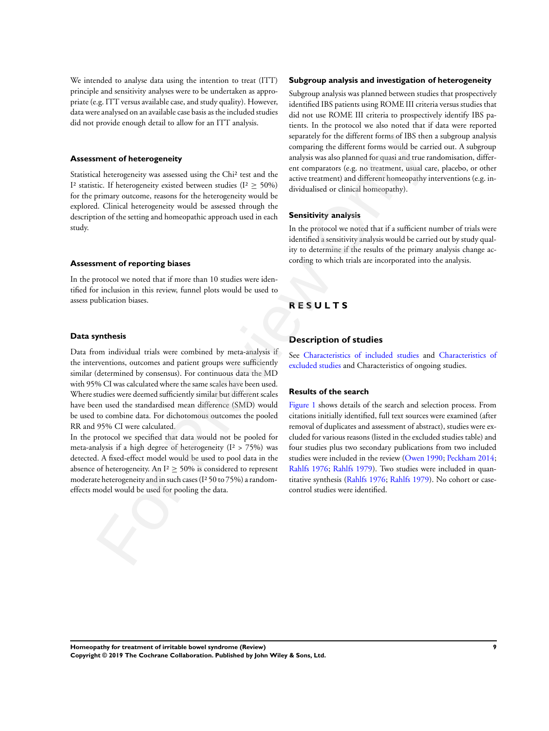We intended to analyse data using the intention to treat (ITT) principle and sensitivity analyses were to be undertaken as appropriate (e.g. ITT versus available case, and study quality). However, data were analysed on an available case basis as the included studies did not provide enough detail to allow for an ITT analysis.

#### **Assessment of heterogeneity**

Statistical heterogeneity was assessed using the Chi<sup>2</sup> test and the I<sup>2</sup> statistic. If heterogeneity existed between studies (I<sup>2</sup> > 50%) for the primary outcome, reasons for the heterogeneity would be explored. Clinical heterogeneity would be assessed through the description of the setting and homeopathic approach used in each study.

#### **Assessment of reporting biases**

In the protocol we noted that if more than 10 studies were identified for inclusion in this review, funnel plots would be used to assess publication biases.

#### **Data synthesis**

Data from individual trials were combined by meta-analysis if the interventions, outcomes and patient groups were sufficiently similar (determined by consensus). For continuous data the MD with 95% CI was calculated where the same scales have been used. Where studies were deemed sufficiently similar but different scales have been used the standardised mean difference (SMD) would be used to combine data. For dichotomous outcomes the pooled RR and 95% CI were calculated. **EXECUTE SET US AND MANUSION CONSULTER SET AND MANUSION CONSULTER A CONSULTER A CONSULTER THE SET AND MANUSION CONSULTER THE SET AND MANUSION CONSULTER THE INTERFERIMENT ONLY CONSULTER A CONSULTER CONSULTER CONSULTER CONS** 

In the protocol we specified that data would not be pooled for meta-analysis if a high degree of heterogeneity ( $I^2$  > 75%) was detected. A fixed-effect model would be used to pool data in the absence of heterogeneity. An I<sup>2</sup>  $\geq$  50% is considered to represent moderate heterogeneity and in such cases (I² 50 to 75%) a randomeffects model would be used for pooling the data.

#### **Subgroup analysis and investigation of heterogeneity**

Subgroup analysis was planned between studies that prospectively identified IBS patients using ROME III criteria versus studies that did not use ROME III criteria to prospectively identify IBS patients. In the protocol we also noted that if data were reported separately for the different forms of IBS then a subgroup analysis comparing the different forms would be carried out. A subgroup analysis was also planned for quasi and true randomisation, different comparators (e.g. no treatment, usual care, placebo, or other active treatment) and different homeopathy interventions (e.g. individualised or clinical homeopathy).

# **Sensitivity analysis**

In the protocol we noted that if a sufficient number of trials were identified a sensitivity analysis would be carried out by study quality to determine if the results of the primary analysis change according to which trials are incorporated into the analysis.

# **R E S U L T S**

# **Description of studies**

See Characteristics of included studies and Characteristics of excluded studies and Characteristics of ongoing studies.

#### **Results of the search**

Figure 1 shows details of the search and selection process. From citations initially identified, full text sources were examined (after removal of duplicates and assessment of abstract), studies were excluded for various reasons (listed in the excluded studies table) and four studies plus two secondary publications from two included studies were included in the review (Owen 1990; Peckham 2014; Rahlfs 1976; Rahlfs 1979). Two studies were included in quantitative synthesis (Rahlfs 1976; Rahlfs 1979). No cohort or casecontrol studies were identified.

**Homeopathy for treatment of irritable bowel syndrome (Review) 9 Copyright © 2019 The Cochrane Collaboration. Published by John Wiley & Sons, Ltd.**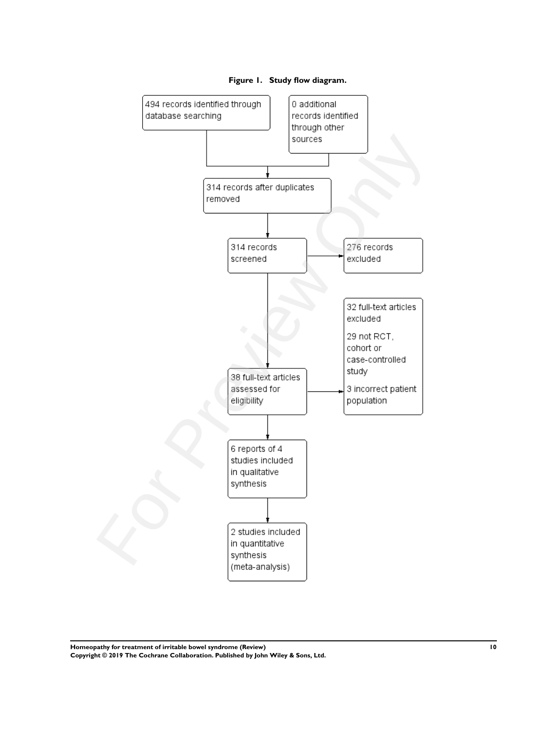

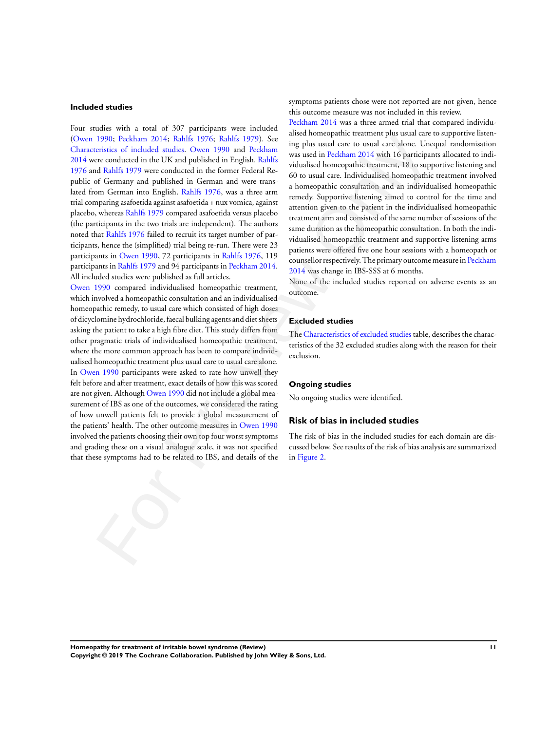#### **Included studies**

Four studies with a total of 307 participants were included (Owen 1990; Peckham 2014; Rahlfs 1976; Rahlfs 1979). See Characteristics of included studies. Owen 1990 and Peckham 2014 were conducted in the UK and published in English. Rahlfs 1976 and Rahlfs 1979 were conducted in the former Federal Republic of Germany and published in German and were translated from German into English. Rahlfs 1976, was a three arm trial comparing asafoetida against asafoetida + nux vomica, against placebo, whereas Rahlfs 1979 compared asafoetida versus placebo (the participants in the two trials are independent). The authors noted that Rahlfs 1976 failed to recruit its target number of participants, hence the (simplified) trial being re-run. There were 23 participants in Owen 1990, 72 participants in Rahlfs 1976, 119 participants in Rahlfs 1979 and 94 participants in Peckham 2014. All included studies were published as full articles.

Owen 1990 compared individualised homeopathic treatment, which involved a homeopathic consultation and an individualised homeopathic remedy, to usual care which consisted of high doses of dicyclomine hydrochloride, faecal bulking agents and diet sheets asking the patient to take a high fibre diet. This study differs from other pragmatic trials of individualised homeopathic treatment, where the more common approach has been to compare individualised homeopathic treatment plus usual care to usual care alone. In Owen 1990 participants were asked to rate how unwell they felt before and after treatment, exact details of how this was scored are not given. Although Owen 1990 did not include a global measurement of IBS as one of the outcomes, we considered the rating of how unwell patients felt to provide a global measurement of the patients' health. The other outcome measures in Owen 1990 involved the patients choosing their own top four worst symptoms and grading these on a visual analogue scale, it was not specified that these symptoms had to be related to IBS, and details of the 1990) Pechama 2014 is Rahlis 1979). See annotation and the chicken and the same the same of the same of the same of the conducted in the form Fording main can be the same of the same of the same in the same in the same in

symptoms patients chose were not reported are not given, hence this outcome measure was not included in this review.

Peckham 2014 was a three armed trial that compared individualised homeopathic treatment plus usual care to supportive listening plus usual care to usual care alone. Unequal randomisation was used in Peckham 2014 with 16 participants allocated to individualised homeopathic treatment, 18 to supportive listening and 60 to usual care. Individualised homeopathic treatment involved a homeopathic consultation and an individualised homeopathic remedy. Supportive listening aimed to control for the time and attention given to the patient in the individualised homeopathic treatment arm and consisted of the same number of sessions of the same duration as the homeopathic consultation. In both the individualised homeopathic treatment and supportive listening arms patients were offered five one hour sessions with a homeopath or counsellor respectively. The primary outcome measure in Peckham 2014 was change in IBS-SSS at 6 months.

None of the included studies reported on adverse events as an outcome.

#### **Excluded studies**

The Characteristics of excluded studies table, describes the characteristics of the 32 excluded studies along with the reason for their exclusion.

#### **Ongoing studies**

No ongoing studies were identified.

#### **Risk of bias in included studies**

The risk of bias in the included studies for each domain are discussed below. See results of the risk of bias analysis are summarized in Figure 2.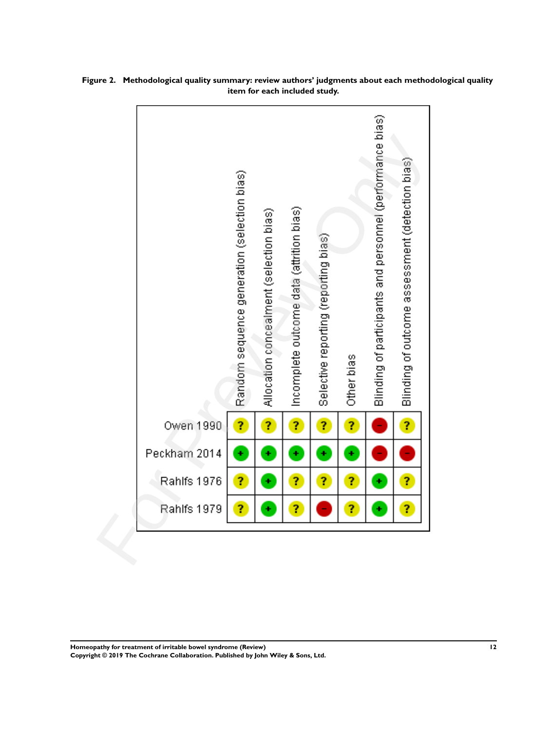

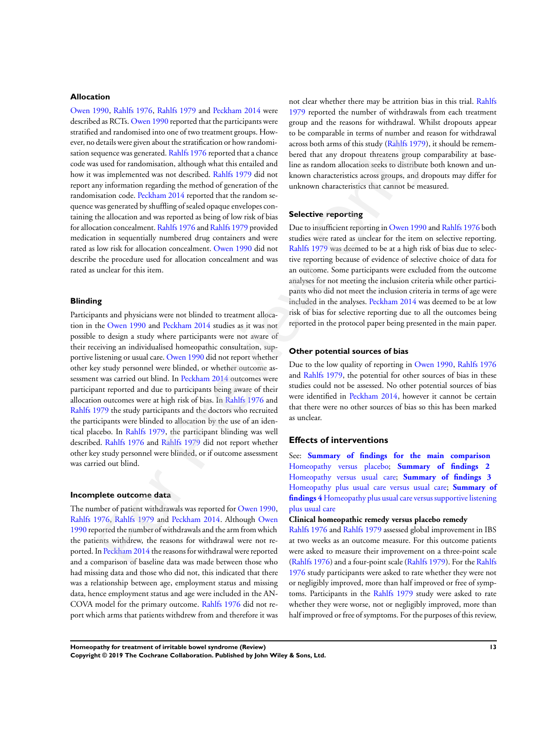#### **Allocation**

Owen 1990, Rahlfs 1976, Rahlfs 1979 and Peckham 2014 were described as RCTs. Owen 1990 reported that the participants were stratified and randomised into one of two treatment groups. However, no details were given about the stratification or how randomisation sequence was generated. Rahlfs 1976 reported that a chance code was used for randomisation, although what this entailed and how it was implemented was not described. Rahlfs 1979 did not report any information regarding the method of generation of the randomisation code. Peckham 2014 reported that the random sequence was generated by shuffling of sealed opaque envelopes containing the allocation and was reported as being of low risk of bias for allocation concealment. Rahlfs 1976 and Rahlfs 1979 provided medication in sequentially numbered drug containers and were rated as low risk for allocation concealment. Owen 1990 did not describe the procedure used for allocation concealment and was rated as unclear for this item.

#### **Blinding**

Participants and physicians were not blinded to treatment allocation in the Owen 1990 and Peckham 2014 studies as it was not possible to design a study where participants were not aware of their receiving an individualised homeopathic consultation, supportive listening or usual care. Owen 1990 did not report whether other key study personnel were blinded, or whether outcome assessment was carried out blind. In Peckham 2014 outcomes were participant reported and due to participants being aware of their allocation outcomes were at high risk of bias. In Rahlfs 1976 and Rahlfs 1979 the study participants and the doctors who recruited the participants were blinded to allocation by the use of an identical placebo. In Rahlfs 1979, the participant blinding was well described. Rahlfs 1976 and Rahlfs 1979 did not report whether other key study personnel were blinded, or if outcome assessment was carried out blind. details were given about the attention or how randominal consulting the simulation or how randominal consulting the molecular anti-<br>simulation of the sympetric and the sympetry of this stand is the sympetric way generated

#### **Incomplete outcome data**

The number of patient withdrawals was reported for Owen 1990, Rahlfs 1976, Rahlfs 1979 and Peckham 2014. Although Owen 1990 reported the number of withdrawals and the arm from which the patients withdrew, the reasons for withdrawal were not reported. In Peckham 2014 the reasons for withdrawal were reported and a comparison of baseline data was made between those who had missing data and those who did not, this indicated that there was a relationship between age, employment status and missing data, hence employment status and age were included in the AN-COVA model for the primary outcome. Rahlfs 1976 did not report which arms that patients withdrew from and therefore it was

not clear whether there may be attrition bias in this trial. Rahlfs 1979 reported the number of withdrawals from each treatment group and the reasons for withdrawal. Whilst dropouts appear to be comparable in terms of number and reason for withdrawal across both arms of this study (Rahlfs 1979), it should be remembered that any dropout threatens group comparability at baseline as random allocation seeks to distribute both known and unknown characteristics across groups, and dropouts may differ for unknown characteristics that cannot be measured.

## **Selective reporting**

Due to insufficient reporting in Owen 1990 and Rahlfs 1976 both studies were rated as unclear for the item on selective reporting. Rahlfs 1979 was deemed to be at a high risk of bias due to selective reporting because of evidence of selective choice of data for an outcome. Some participants were excluded from the outcome analyses for not meeting the inclusion criteria while other participants who did not meet the inclusion criteria in terms of age were included in the analyses. Peckham 2014 was deemed to be at low risk of bias for selective reporting due to all the outcomes being reported in the protocol paper being presented in the main paper.

#### **Other potential sources of bias**

Due to the low quality of reporting in Owen 1990, Rahlfs 1976 and Rahlfs 1979, the potential for other sources of bias in these studies could not be assessed. No other potential sources of bias were identified in Peckham 2014, however it cannot be certain that there were no other sources of bias so this has been marked as unclear.

#### **Effects of interventions**

See: **Summary of findings for the main comparison** Homeopathy versus placebo; **Summary of findings 2** Homeopathy versus usual care; **Summary of findings 3** Homeopathy plus usual care versus usual care; **Summary of findings 4** Homeopathy plus usual care versus supportive listening plus usual care

#### **Clinical homeopathic remedy versus placebo remedy**

Rahlfs 1976 and Rahlfs 1979 assessed global improvement in IBS at two weeks as an outcome measure. For this outcome patients were asked to measure their improvement on a three-point scale (Rahlfs 1976) and a four-point scale (Rahlfs 1979). For the Rahlfs 1976 study participants were asked to rate whether they were not or negligibly improved, more than half improved or free of symptoms. Participants in the Rahlfs 1979 study were asked to rate whether they were worse, not or negligibly improved, more than half improved or free of symptoms. For the purposes of this review,

**Homeopathy for treatment of irritable bowel syndrome (Review) 13 Copyright © 2019 The Cochrane Collaboration. Published by John Wiley & Sons, Ltd.**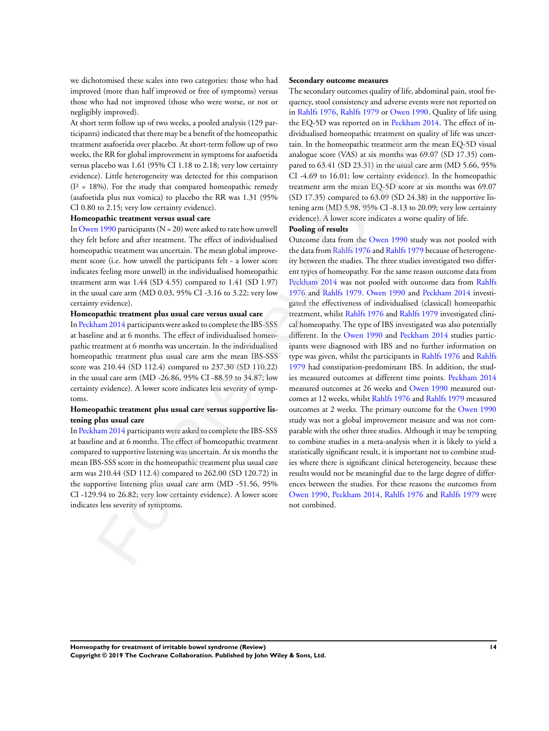we dichotomised these scales into two categories: those who had improved (more than half improved or free of symptoms) versus those who had not improved (those who were worse, or not or negligibly improved).

At short term follow up of two weeks, a pooled analysis (129 participants) indicated that there may be a benefit of the homeopathic treatment asafoetida over placebo. At short-term follow up of two weeks, the RR for global improvement in symptoms for asafoetida versus placebo was 1.61 (95% CI 1.18 to 2.18; very low certainty evidence). Little heterogeneity was detected for this comparison  $(I<sup>2</sup> = 18%)$ . For the study that compared homeopathic remedy (asafoetida plus nux vomica) to placebo the RR was 1.31 (95% CI 0.80 to 2.15; very low certainty evidence).

#### **Homeopathic treatment versus usual care**

In Owen 1990 participants ( $N = 20$ ) were asked to rate how unwell they felt before and after treatment. The effect of individualised homeopathic treatment was uncertain. The mean global improvement score (i.e. how unwell the participants felt - a lower score indicates feeling more unwell) in the individualised homeopathic treatment arm was 1.44 (SD 4.55) compared to 1.41 (SD 1.97) in the usual care arm (MD 0.03, 95% CI -3.16 to 3.22; very low certainty evidence).

#### **Homeopathic treatment plus usual care versus usual care**

In Peckham 2014 participants were asked to complete the IBS-SSS at baseline and at 6 months. The effect of individualised homeopathic treatment at 6 months was uncertain. In the individualised homeopathic treatment plus usual care arm the mean IBS-SSS score was 210.44 (SD 112.4) compared to 237.30 (SD 110.22) in the usual care arm (MD -26.86, 95% CI -88.59 to 34.87; low certainty evidence). A lower score indicates less severity of symptoms.

#### **Homeopathic treatment plus usual care versus supportive listening plus usual care**

In Peckham 2014 participants were asked to complete the IBS-SSS at baseline and at 6 months. The effect of homeopathic treatment compared to supportive listening was uncertain. At six months the mean IBS-SSS score in the homeopathic treatment plus usual care arm was 210.44 (SD 112.4) compared to 262.00 (SD 120.72) in the supportive listening plus usual care arm (MD -51.56, 95% CI -129.94 to 26.82; very low certainty evidence). A lower score indicates less severity of symptoms.

#### **Secondary outcome measures**

The secondary outcomes quality of life, abdominal pain, stool frequency, stool consistency and adverse events were not reported on in Rahlfs 1976, Rahlfs 1979 or Owen 1990. Quality of life using the EQ-5D was reported on in Peckham 2014. The effect of individualised homeopathic treatment on quality of life was uncertain. In the homeopathic treatment arm the mean EQ-5D visual analogue score (VAS) at six months was 69.07 (SD 17.35) compared to 63.41 (SD 23.31) in the usual care arm (MD 5.66, 95% CI -4.69 to 16.01; low certainty evidence). In the homeopathic treatment arm the mean EQ-5D score at six months was 69.07 (SD 17.35) compared to 63.09 (SD 24.38) in the supportive listening arm (MD 5.98, 95% CI -8.13 to 20.09; very low certainty evidence). A lower score indicates a worse quality of life.

#### **Pooling of results**

Outcome data from the Owen 1990 study was not pooled with the data from Rahlfs 1976 and Rahlfs 1979 because of heterogeneity between the studies. The three studies investigated two different types of homeopathy. For the same reason outcome data from Peckham 2014 was not pooled with outcome data from Rahlfs 1976 and Rahlfs 1979. Owen 1990 and Peckham 2014 investigated the effectiveness of individualised (classical) homeopathic treatment, whilst Rahlfs 1976 and Rahlfs 1979 investigated clinical homeopathy. The type of IBS investigated was also potentially different. In the Owen 1990 and Peckham 2014 studies participants were diagnosed with IBS and no further information on type was given, whilst the participants in Rahlfs 1976 and Rahlfs 1979 had constipation-predominant IBS. In addition, the studies measured outcomes at different time points. Peckham 2014 measured outcomes at 26 weeks and Owen 1990 measured outcomes at 12 weeks, whilst Rahlfs 1976 and Rahlfs 1979 measured outcomes at 2 weeks. The primary outcome for the Owen 1990 study was not a global improvement measure and was not comparable with the other three studies. Although it may be tempting to combine studies in a meta-analysis when it is likely to yield a statistically significant result, it is important not to combine studies where there is significant clinical heterogeneity, because these results would not be meaningful due to the large degree of differences between the studies. For these reasons the outcomes from Owen 1990, Peckham 2014, Rahlfs 1976 and Rahlfs 1979 were not combined. Is unatured unit unit proposition of the material of the material of the Rosephanic teament and the RS (not also the RS (not also the RS (not also the RS (not also the RS (not also the RS (not also the RS (not also the DN

**Homeopathy for treatment of irritable bowel syndrome (Review) 14 Copyright © 2019 The Cochrane Collaboration. Published by John Wiley & Sons, Ltd.**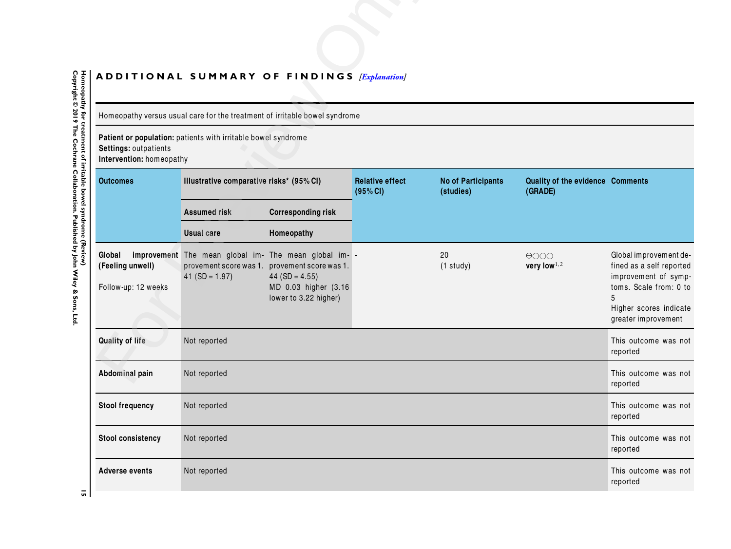# ADDITIONAL SUMMARY OF FINDINGS *[Explanation]*

| ADDITIONAL SUMMARY OF FINDINGS [Explanation]      | Homeopathy versus usual care for the treatment of irritable bowel syndrome |                                                                                                                      |                                    |                                        |                                             |                                                                                                                                                            |
|---------------------------------------------------|----------------------------------------------------------------------------|----------------------------------------------------------------------------------------------------------------------|------------------------------------|----------------------------------------|---------------------------------------------|------------------------------------------------------------------------------------------------------------------------------------------------------------|
|                                                   |                                                                            |                                                                                                                      |                                    |                                        |                                             |                                                                                                                                                            |
| Settings: outpatients<br>Intervention: homeopathy | Patient or population: patients with irritable bowel syndrome              |                                                                                                                      |                                    |                                        |                                             |                                                                                                                                                            |
| <b>Outcomes</b>                                   | Illustrative comparative risks* (95% CI)                                   |                                                                                                                      | <b>Relative effect</b><br>(95% CI) | <b>No of Participants</b><br>(studies) | Quality of the evidence Comments<br>(GRADE) |                                                                                                                                                            |
|                                                   | <b>Assumed risk</b>                                                        | <b>Corresponding risk</b>                                                                                            |                                    |                                        |                                             |                                                                                                                                                            |
|                                                   | <b>Usual care</b>                                                          | Homeopathy                                                                                                           |                                    |                                        |                                             |                                                                                                                                                            |
| Global<br>(Feeling unwell)<br>Follow-up: 12 weeks | improvement The mean global im- The mean global im- -<br>41 (SD = $1.97$ ) | provement score was 1. provement score was 1.<br>44 ( $SD = 4.55$ )<br>MD 0.03 higher (3.16<br>lower to 3.22 higher) |                                    | 20<br>$(1$ study)                      | $\bigoplus$ OOO<br>very low $^{1,2}$        | Global improvement de-<br>fined as a self reported<br>improvement of symp-<br>toms. Scale from: 0 to<br>5<br>Higher scores indicate<br>greater improvement |
| <b>Quality of life</b>                            | Not reported                                                               |                                                                                                                      |                                    |                                        |                                             | This outcome was not<br>reported                                                                                                                           |
| Abdominal pain                                    | Not reported                                                               |                                                                                                                      |                                    |                                        |                                             | This outcome was not<br>reported                                                                                                                           |
| <b>Stool frequency</b>                            | Not reported                                                               |                                                                                                                      |                                    |                                        |                                             | This outcome was not<br>reported                                                                                                                           |
| <b>Stool consistency</b>                          | Not reported                                                               |                                                                                                                      |                                    |                                        |                                             | This outcome was not<br>reported                                                                                                                           |
| <b>Adverse events</b>                             | Not reported                                                               |                                                                                                                      |                                    |                                        |                                             | This outcome was not<br>reported                                                                                                                           |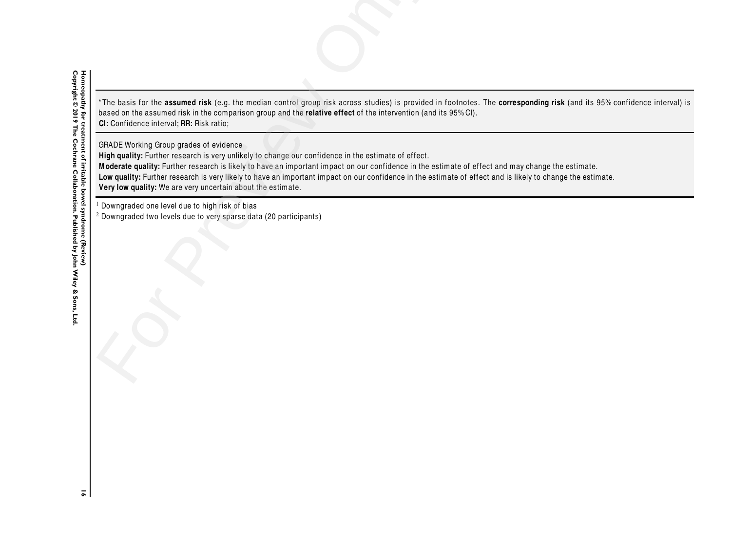\* The basis for the **assumed risk** (e.g. the median control group risk across studies) is provided in footnotes. The **corresponding risk** (and its 95% conf idence interval) is based on the assumed risk in the comparison group and the **relative effect** of the intervention (and its 95% CI). **CI:** Conf idence interval; **RR:** Risk ratio; The basis for the assumed risk (e.g. the median control group risk across studies) is provided<br>based on the assumed risk in the comparison group and the relative effect of the intervention (and<br>CI: Confidence interval; RR:

GRADE Working Group grades of evidence

High quality: Further research is very unlikely to change our confidence in the estimate of effect.

**<sup>M</sup> oderate quality:** Further research is likely to have an important impact on our conf idence in the estimate of effect and may change the estimate.

Low quality: Further research is very likely to have an important impact on our confidence in the estimate of effect and is likely to change the estimate.

**Very low quality:** We are very uncertain about the estimate.

 $^1$  Downgraded one level due to high risk of bias  $^2$  Downgraded two levels due to very sparse data (20 participants)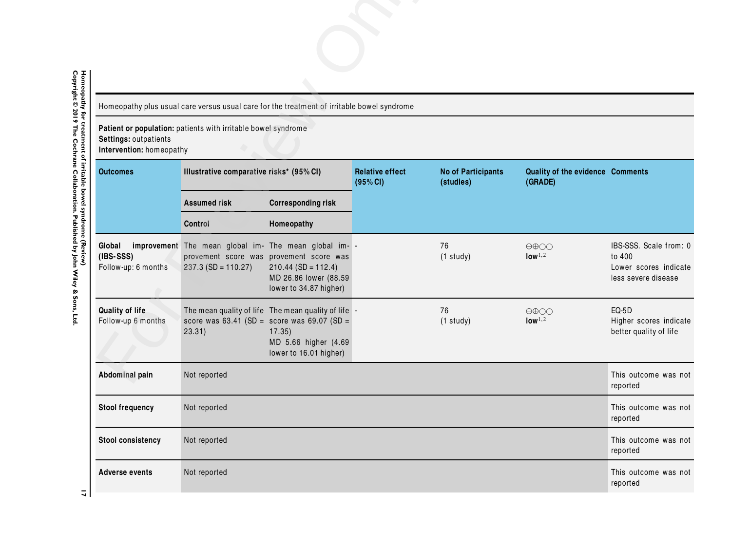| Settings: outpatients                        | Homeopathy plus usual care versus usual care for the treatment of irritable bowel syndrome<br>Patient or population: patients with irritable bowel syndrome |                                                                                                                                                                    |                                    |                                        |                                                         |                                                                                  |
|----------------------------------------------|-------------------------------------------------------------------------------------------------------------------------------------------------------------|--------------------------------------------------------------------------------------------------------------------------------------------------------------------|------------------------------------|----------------------------------------|---------------------------------------------------------|----------------------------------------------------------------------------------|
| Intervention: homeopathy<br><b>Outcomes</b>  | Illustrative comparative risks* (95% CI)                                                                                                                    |                                                                                                                                                                    | <b>Relative effect</b><br>(95% CI) | <b>No of Participants</b><br>(studies) | Quality of the evidence Comments<br>(GRADE)             |                                                                                  |
|                                              | <b>Assumed risk</b>                                                                                                                                         | <b>Corresponding risk</b>                                                                                                                                          |                                    |                                        |                                                         |                                                                                  |
|                                              | Control                                                                                                                                                     | Homeopathy                                                                                                                                                         |                                    |                                        |                                                         |                                                                                  |
| Global<br>$(IBS-SSS)$<br>Follow-up: 6 months | improvement The mean global im- The mean global im- -<br>$237.3$ (SD = 110.27)                                                                              | provement score was provement score was<br>$210.44$ (SD = 112.4)<br>MD 26.86 lower (88.59<br>lower to 34.87 higher)                                                |                                    | 76<br>$(1$ study)                      | $\oplus \oplus \bigcirc \bigcirc$<br>low <sup>1,2</sup> | IBS-SSS. Scale from: 0<br>to 400<br>Lower scores indicate<br>less severe disease |
| <b>Quality of life</b><br>Follow-up 6 months | 23.31)                                                                                                                                                      | The mean quality of life The mean quality of life -<br>score was $63.41$ (SD = score was $69.07$ (SD =<br>17.35)<br>MD 5.66 higher (4.69<br>lower to 16.01 higher) |                                    | 76<br>$(1$ study)                      | $\oplus$ $\oplus$<br>low <sup>1,2</sup>                 | EQ-5D<br>Higher scores indicate<br>better quality of life                        |
| Abdominal pain                               | Not reported                                                                                                                                                |                                                                                                                                                                    |                                    |                                        |                                                         | This outcome was not<br>reported                                                 |
| <b>Stool frequency</b>                       | Not reported                                                                                                                                                |                                                                                                                                                                    |                                    |                                        |                                                         | This outcome was not<br>reported                                                 |
| Stool consistency                            | Not reported                                                                                                                                                |                                                                                                                                                                    |                                    |                                        |                                                         | This outcome was not<br>reported                                                 |
| <b>Adverse events</b>                        | Not reported                                                                                                                                                |                                                                                                                                                                    |                                    |                                        |                                                         | This outcome was not<br>reported                                                 |

 $\overline{a}$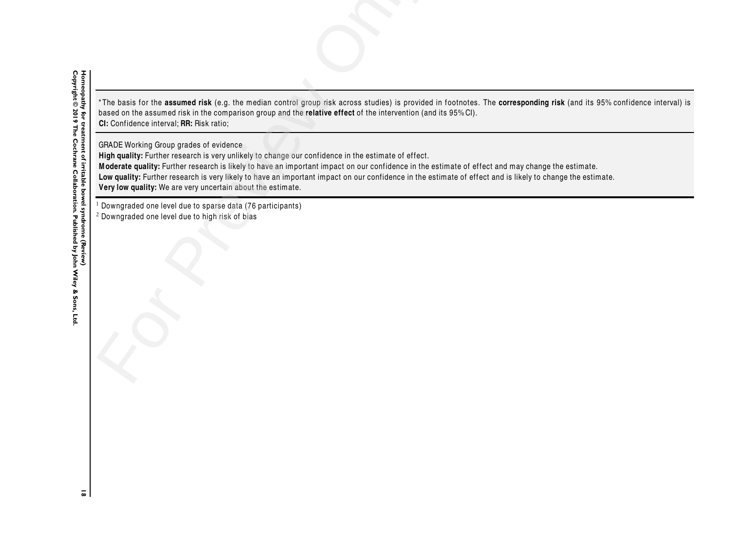\* The basis for the **assumed risk** (e.g. the median control group risk across studies) is provided in footnotes. The **corresponding risk** (and its 95% conf idence interval) is based on the assumed risk in the comparison group and the **relative effect** of the intervention (and its 95% CI). **CI:** Conf idence interval; **RR:** Risk ratio; The basis for the assumed risk (e.g. the median control group risk across studies) is provided<br>based on the assumed risk in the comparison group and the relative effect of the intervention (and<br>CI: Confidence interval; RR:

GRADE Working Group grades of evidence

High quality: Further research is very unlikely to change our confidence in the estimate of effect.

**<sup>M</sup> oderate quality:** Further research is likely to have an important impact on our conf idence in the estimate of effect and may change the estimate.

Low quality: Further research is very likely to have an important impact on our confidence in the estimate of effect and is likely to change the estimate.

**Very low quality:** We are very uncertain about the estimate.

 $^{\rm 1}$  Downgraded one level due to sparse data (76 participants)

 $^2$  Downgraded one level due to high risk of bias

 $\overline{\bullet}$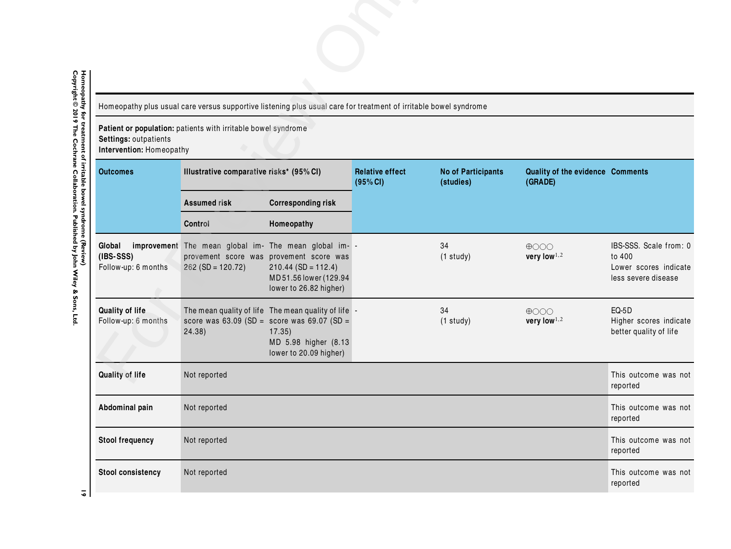Homeopathy for treatment of irritable bowel syndrome (Review)<br>Copyright © 2019 The Cochrane Collaboration. Published by John Wiley & Sons, Ltd. **Copyright © 2019 The Cochrane Collaboration. Published by John Wiley & Sons, Ltd. 19 Homeopathy for treatment of irritable bowel syndrome (Review)**

| Homeopathy plus usual care versus supportive listening plus usual care for treatment of irritable bowel syndrome |                                                                                                                         |                                                                                                                 |                                    |                                        |                                             |                                                                                  |
|------------------------------------------------------------------------------------------------------------------|-------------------------------------------------------------------------------------------------------------------------|-----------------------------------------------------------------------------------------------------------------|------------------------------------|----------------------------------------|---------------------------------------------|----------------------------------------------------------------------------------|
| Settings: outpatients<br>Intervention: Homeopathy                                                                | Patient or population: patients with irritable bowel syndrome                                                           |                                                                                                                 |                                    |                                        |                                             |                                                                                  |
| <b>Outcomes</b>                                                                                                  | Illustrative comparative risks* (95% CI)                                                                                |                                                                                                                 | <b>Relative effect</b><br>(95% CI) | <b>No of Participants</b><br>(studies) | Quality of the evidence Comments<br>(GRADE) |                                                                                  |
|                                                                                                                  | <b>Assumed risk</b>                                                                                                     | <b>Corresponding risk</b>                                                                                       |                                    |                                        |                                             |                                                                                  |
|                                                                                                                  | Control                                                                                                                 | Homeopathy                                                                                                      |                                    |                                        |                                             |                                                                                  |
| Global<br>$(IBS-SSS)$<br>Follow-up: 6 months                                                                     | improvement The mean global im- The mean global im- -<br>provement score was provement score was<br>$262 (SD = 120.72)$ | $210.44$ (SD = 112.4)<br>MD51.56 lower (129.94<br>lower to 26.82 higher)                                        |                                    | 34<br>$(1$ study)                      | $\bigoplus$ OOO<br>very low <sup>1,2</sup>  | IBS-SSS. Scale from: 0<br>to 400<br>Lower scores indicate<br>less severe disease |
| Quality of life<br>Follow-up: 6 months                                                                           | score was $63.09$ (SD = score was $69.07$ (SD =<br>24.38)                                                               | The mean quality of life The mean quality of life -<br>17.35)<br>MD 5.98 higher (8.13<br>lower to 20.09 higher) |                                    | 34<br>$(1$ study)                      | $\bigoplus$<br>very low $^{1,2}$            | EQ-5D<br>Higher scores indicate<br>better quality of life                        |
| Quality of life                                                                                                  | Not reported                                                                                                            |                                                                                                                 |                                    |                                        |                                             | This outcome was not<br>reported                                                 |
| Abdominal pain                                                                                                   | Not reported                                                                                                            |                                                                                                                 |                                    |                                        |                                             | This outcome was not<br>reported                                                 |
| <b>Stool frequency</b>                                                                                           | Not reported                                                                                                            |                                                                                                                 |                                    |                                        |                                             | This outcome was not<br>reported                                                 |
| <b>Stool consistency</b>                                                                                         | Not reported                                                                                                            |                                                                                                                 |                                    |                                        |                                             | This outcome was not<br>reported                                                 |

 $\overline{\bullet}$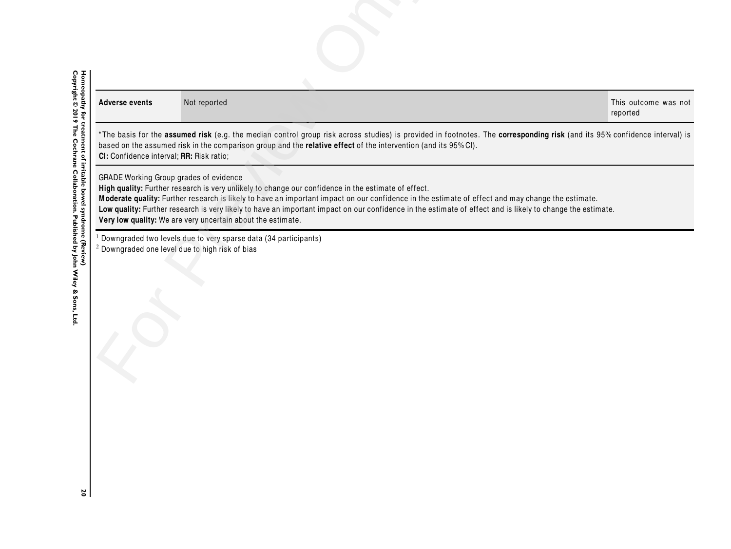| <b>Adverse events</b>                                                              | Not reported                                                                                                                                                                                                                                                                                                                                                                                                                                                                                                                                                                                            |  | This outcome was not<br>reported                                                                                                                                          |
|------------------------------------------------------------------------------------|---------------------------------------------------------------------------------------------------------------------------------------------------------------------------------------------------------------------------------------------------------------------------------------------------------------------------------------------------------------------------------------------------------------------------------------------------------------------------------------------------------------------------------------------------------------------------------------------------------|--|---------------------------------------------------------------------------------------------------------------------------------------------------------------------------|
| CI: Confidence interval; RR: Risk ratio;<br>GRADE Working Group grades of evidence | based on the assumed risk in the comparison group and the relative effect of the intervention (and its 95%CI).<br>High quality: Further research is very unlikely to change our confidence in the estimate of effect.<br>Moderate quality: Further research is likely to have an important impact on our confidence in the estimate of effect and may change the estimate.<br>Low quality: Further research is very likely to have an important impact on our confidence in the estimate of effect and is likely to change the estimate.<br>Very low quality: We are very uncertain about the estimate. |  | *The basis for the assumed risk (e.g. the median control group risk across studies) is provided in footnotes. The corresponding risk (and its 95% confidence interval) is |
|                                                                                    | <sup>1</sup> Downgraded two levels due to very sparse data (34 participants)<br><sup>2</sup> Downgraded one level due to high risk of bias                                                                                                                                                                                                                                                                                                                                                                                                                                                              |  |                                                                                                                                                                           |

Homeopathy for treatment of irritable bowel syndrome (Review)<br>Copyright © 2019 The Cochrane Collaboration. Published by John Wiley & Sons, Ltd. **Copyright © 2019 The Cochrane Collaboration. Published by John Wiley & Sons, Ltd. 20 Homeopathy for treatment of irritable bowel syndrome (Review)**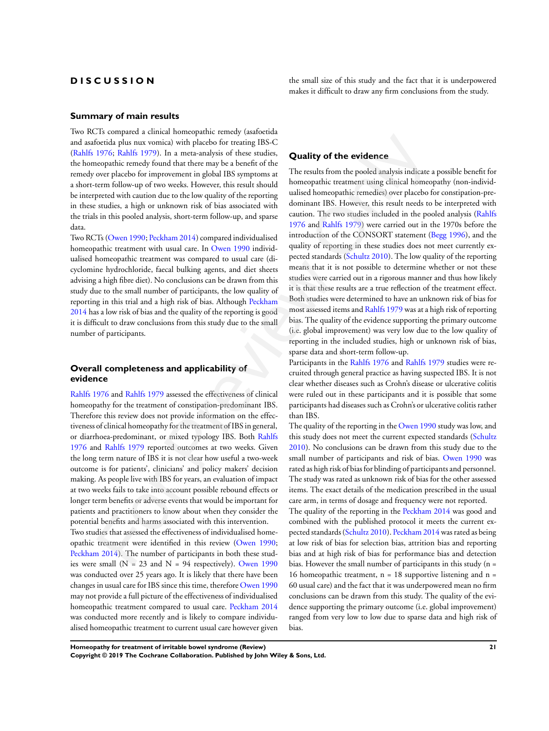# **D I S C U S S I O N**

#### **Summary of main results**

Two RCTs compared a clinical homeopathic remedy (asafoetida and asafoetida plus nux vomica) with placebo for treating IBS-C (Rahlfs 1976; Rahlfs 1979). In a meta-analysis of these studies, the homeopathic remedy found that there may be a benefit of the remedy over placebo for improvement in global IBS symptoms at a short-term follow-up of two weeks. However, this result should be interpreted with caution due to the low quality of the reporting in these studies, a high or unknown risk of bias associated with the trials in this pooled analysis, short-term follow-up, and sparse data.

Two RCTs (Owen 1990; Peckham 2014) compared individualised homeopathic treatment with usual care. In Owen 1990 individualised homeopathic treatment was compared to usual care (dicyclomine hydrochloride, faecal bulking agents, and diet sheets advising a high fibre diet). No conclusions can be drawn from this study due to the small number of participants, the low quality of reporting in this trial and a high risk of bias. Although Peckham 2014 has a low risk of bias and the quality of the reporting is good it is difficult to draw conclusions from this study due to the small number of participants.

# **Overall completeness and applicability of evidence**

Rahlfs 1976 and Rahlfs 1979 assessed the effectiveness of clinical homeopathy for the treatment of constipation-predominant IBS. Therefore this review does not provide information on the effectiveness of clinical homeopathy for the treatment of IBS in general, or diarrhoea-predominant, or mixed typology IBS. Both Rahlfs 1976 and Rahlfs 1979 reported outcomes at two weeks. Given the long term nature of IBS it is not clear how useful a two-week outcome is for patients', clinicians' and policy makers' decision making. As people live with IBS for years, an evaluation of impact at two weeks fails to take into account possible rebound effects or longer term benefits or adverse events that would be important for patients and practitioners to know about when they consider the potential benefits and harms associated with this intervention.

Two studies that assessed the effectiveness of individualised homeopathic treatment were identified in this review (Owen 1990; Peckham 2014). The number of participants in both these studies were small  $(N = 23$  and  $N = 94$  respectively). Owen 1990 was conducted over 25 years ago. It is likely that there have been changes in usual care for IBS since this time, therefore Owen 1990 may not provide a full picture of the effectiveness of individualised homeopathic treatment compared to usual care. Peckham 2014 was conducted more recently and is likely to compare individualised homeopathic treatment to current usual care however given

the small size of this study and the fact that it is underpowered makes it difficult to draw any firm conclusions from the study.

#### **Quality of the evidence**

The results from the pooled analysis indicate a possible benefit for homeopathic treatment using clinical homeopathy (non-individualised homeopathic remedies) over placebo for constipation-predominant IBS. However, this result needs to be interpreted with caution. The two studies included in the pooled analysis (Rahlfs 1976 and Rahlfs 1979) were carried out in the 1970s before the introduction of the CONSORT statement (Begg 1996), and the quality of reporting in these studies does not meet currently expected standards (Schultz 2010). The low quality of the reporting means that it is not possible to determine whether or not these studies were carried out in a rigorous manner and thus how likely it is that these results are a true reflection of the treatment effect. Both studies were determined to have an unknown risk of bias for most assessed items and Rahlfs 1979 was at a high risk of reporting bias. The quality of the evidence supporting the primary outcome (i.e. global improvement) was very low due to the low quality of reporting in the included studies, high or unknown risk of bias, sparse data and short-term follow-up. forcing thus may contrain with plancho for meaning HSCC<br>
For Schiffer Strain was contrained plancho for these well are well are considered to the selection in a mean only in the schiffer of the selection of the selection

Participants in the Rahlfs 1976 and Rahlfs 1979 studies were recruited through general practice as having suspected IBS. It is not clear whether diseases such as Crohn's disease or ulcerative colitis were ruled out in these participants and it is possible that some participants had diseases such as Crohn's or ulcerative colitis rather than IBS.

The quality of the reporting in the Owen 1990 study was low, and this study does not meet the current expected standards (Schultz 2010). No conclusions can be drawn from this study due to the small number of participants and risk of bias. Owen 1990 was rated as high risk of bias for blinding of participants and personnel. The study was rated as unknown risk of bias for the other assessed items. The exact details of the medication prescribed in the usual care arm, in terms of dosage and frequency were not reported.

The quality of the reporting in the Peckham 2014 was good and combined with the published protocol it meets the current expected standards (Schultz 2010). Peckham 2014 was rated as being at low risk of bias for selection bias, attrition bias and reporting bias and at high risk of bias for performance bias and detection bias. However the small number of participants in this study (n = 16 homeopathic treatment,  $n = 18$  supportive listening and  $n =$ 60 usual care) and the fact that it was underpowered mean no firm conclusions can be drawn from this study. The quality of the evidence supporting the primary outcome (i.e. global improvement) ranged from very low to low due to sparse data and high risk of bias.

**Homeopathy for treatment of irritable bowel syndrome (Review) 21 Copyright © 2019 The Cochrane Collaboration. Published by John Wiley & Sons, Ltd.**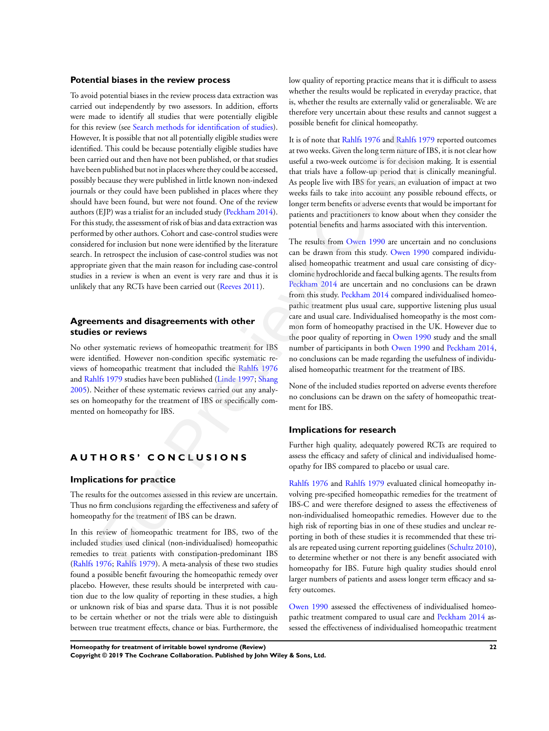#### **Potential biases in the review process**

To avoid potential biases in the review process data extraction was carried out independently by two assessors. In addition, efforts were made to identify all studies that were potentially eligible for this review (see Search methods for identification of studies). However, It is possible that not all potentially eligible studies were identified. This could be because potentially eligible studies have been carried out and then have not been published, or that studies have been published but not in places where they could be accessed, possibly because they were published in little known non-indexed journals or they could have been published in places where they should have been found, but were not found. One of the review authors (EJP) was a trialist for an included study (Peckham 2014). For this study, the assessment of risk of bias and data extraction was performed by other authors. Cohort and case-control studies were considered for inclusion but none were identified by the literature search. In retrospect the inclusion of case-control studies was not appropriate given that the main reason for including case-control studies in a review is when an event is very rare and thus it is unlikely that any RCTs have been carried out (Reeves 2011). The is possible that non all power that of the former in the of none thank that in the former than the control in the second with the second with the second with the second with the second with the second with the second

## **Agreements and disagreements with other studies or reviews**

No other systematic reviews of homeopathic treatment for IBS were identified. However non-condition specific systematic reviews of homeopathic treatment that included the Rahlfs 1976 and Rahlfs 1979 studies have been published (Linde 1997; Shang 2005). Neither of these systematic reviews carried out any analyses on homeopathy for the treatment of IBS or specifically commented on homeopathy for IBS.

# **A U T H O R S ' C O N C L U S I O N S**

## **Implications for practice**

The results for the outcomes assessed in this review are uncertain. Thus no firm conclusions regarding the effectiveness and safety of homeopathy for the treatment of IBS can be drawn.

In this review of homeopathic treatment for IBS, two of the included studies used clinical (non-individualised) homeopathic remedies to treat patients with constipation-predominant IBS (Rahlfs 1976; Rahlfs 1979). A meta-analysis of these two studies found a possible benefit favouring the homeopathic remedy over placebo. However, these results should be interpreted with caution due to the low quality of reporting in these studies, a high or unknown risk of bias and sparse data. Thus it is not possible to be certain whether or not the trials were able to distinguish between true treatment effects, chance or bias. Furthermore, the low quality of reporting practice means that it is difficult to assess whether the results would be replicated in everyday practice, that is, whether the results are externally valid or generalisable. We are therefore very uncertain about these results and cannot suggest a possible benefit for clinical homeopathy.

It is of note that Rahlfs 1976 and Rahlfs 1979 reported outcomes at two weeks. Given the long term nature of IBS, it is not clear how useful a two-week outcome is for decision making. It is essential that trials have a follow-up period that is clinically meaningful. As people live with IBS for years, an evaluation of impact at two weeks fails to take into account any possible rebound effects, or longer term benefits or adverse events that would be important for patients and practitioners to know about when they consider the potential benefits and harms associated with this intervention.

The results from Owen 1990 are uncertain and no conclusions can be drawn from this study. Owen 1990 compared individualised homeopathic treatment and usual care consisting of dicyclomine hydrochloride and faecal bulking agents. The results from Peckham 2014 are uncertain and no conclusions can be drawn from this study. Peckham 2014 compared individualised homeopathic treatment plus usual care, supportive listening plus usual care and usual care. Individualised homeopathy is the most common form of homeopathy practised in the UK. However due to the poor quality of reporting in Owen 1990 study and the small number of participants in both Owen 1990 and Peckham 2014, no conclusions can be made regarding the usefulness of individualised homeopathic treatment for the treatment of IBS.

None of the included studies reported on adverse events therefore no conclusions can be drawn on the safety of homeopathic treatment for IBS.

#### **Implications for research**

Further high quality, adequately powered RCTs are required to assess the efficacy and safety of clinical and individualised homeopathy for IBS compared to placebo or usual care.

Rahlfs 1976 and Rahlfs 1979 evaluated clinical homeopathy involving pre-specified homeopathic remedies for the treatment of IBS-C and were therefore designed to assess the effectiveness of non-individualised homeopathic remedies. However due to the high risk of reporting bias in one of these studies and unclear reporting in both of these studies it is recommended that these trials are repeated using current reporting guidelines (Schultz 2010), to determine whether or not there is any benefit associated with homeopathy for IBS. Future high quality studies should enrol larger numbers of patients and assess longer term efficacy and safety outcomes.

Owen 1990 assessed the effectiveness of individualised homeopathic treatment compared to usual care and Peckham 2014 assessed the effectiveness of individualised homeopathic treatment

**Homeopathy for treatment of irritable bowel syndrome (Review) 22 Copyright © 2019 The Cochrane Collaboration. Published by John Wiley & Sons, Ltd.**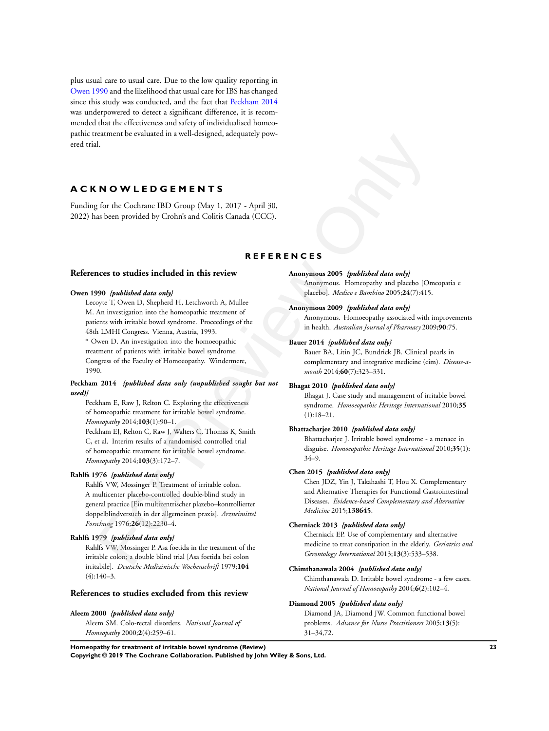plus usual care to usual care. Due to the low quality reporting in Owen 1990 and the likelihood that usual care for IBS has changed since this study was conducted, and the fact that Peckham 2014 was underpowered to detect a significant difference, it is recommended that the effectiveness and safety of individualised homeopathic treatment be evaluated in a well-designed, adequately powered trial.

# **A C K N O W L E D G E M E N T S**

Funding for the Cochrane IBD Group (May 1, 2017 - April 30, 2022) has been provided by Crohn's and Colitis Canada (CCC).

#### **R E F E R E N C E S**

#### **References to studies included in this review**

#### **Owen 1990** *{published data only}*

Lecoyte T, Owen D, Shepherd H, Letchworth A, Mullee M. An investigation into the homeopathic treatment of patients with irritable bowel syndrome. Proceedings of the 48th LMHI Congress. Vienna, Austria, 1993. <sup>∗</sup> Owen D. An investigation into the homoeopathic treatment of patients with irritable bowel syndrome. Congress of the Faculty of Homoeopathy. Windermere, 1990. EURIC Cochrane IBD Group (May 1, 2017 - April 30,<br>
A. **S** for the Cochrane IBD Group (May 1, 2017 - April 30,<br>
S for the Cochrane IBD Group (May 1, 2017 - April 30,<br> **REFERENCES**<br> **REFERENCES**<br> **REFERENCES**<br> **Anarymous 20** 

#### **Peckham 2014** *{published data only (unpublished sought but not used)}*

Peckham E, Raw J, Relton C. Exploring the effectiveness of homeopathic treatment for irritable bowel syndrome. *Homeopathy* 2014;**103**(1):90–1. Peckham EJ, Relton C, Raw J, Walters C, Thomas K, Smith C, et al. Interim results of a randomised controlled trial

of homeopathic treatment for irritable bowel syndrome. *Homeopathy* 2014;**103**(3):172–7.

#### **Rahlfs 1976** *{published data only}*

Rahlfs VW, Mossinger P. Treatment of irritable colon. A multicenter placebo-controlled double-blind study in general practice [Ein multizentrischer plazebo–kontrollierter doppelblindversuch in der allgemeinen praxis]. *Arzneimittel Forschung* 1976;**26**(12):2230–4.

#### **Rahlfs 1979** *{published data only}*

Rahlfs VW, Mossinger P. Asa foetida in the treatment of the irritable colon; a double blind trial [Asa foetida bei colon irritabile]. *Deutsche Medizinische Wochenschrift* 1979;**104**  $(4):140-3.$ 

# **References to studies excluded from this review**

#### **Aleem 2000** *{published data only}*

Aleem SM. Colo-rectal disorders. *National Journal of Homeopathy* 2000;**2**(4):259–61.

**Anonymous 2005** *{published data only}* Anonymous. Homeopathy and placebo [Omeopatia e placebo]. *Medico e Bambino* 2005;**24**(7):415.

#### **Anonymous 2009** *{published data only}*

Anonymous. Homoeopathy associated with improvements in health. *Australian Journal of Pharmacy* 2009;**90**:75.

#### **Bauer 2014** *{published data only}*

Bauer BA, Litin JC, Bundrick JB. Clinical pearls in complementary and integrative medicine (cim). *Disease-amonth* 2014;**60**(7):323–331.

#### **Bhagat 2010** *{published data only}*

Bhagat J. Case study and management of irritable bowel syndrome. *Homoeopathic Heritage International* 2010;**35** (1):18–21.

#### **Bhattacharjee 2010** *{published data only}*

Bhattacharjee J. Irritable bowel syndrome - a menace in disguise. *Homoeopathic Heritage International* 2010;**35**(1): 34–9.

#### **Chen 2015** *{published data only}*

Chen JDZ, Yin J, Takahashi T, Hou X. Complementary and Alternative Therapies for Functional Gastrointestinal Diseases. *Evidence-based Complementary and Alternative Medicine* 2015;**138645**.

#### **Cherniack 2013** *{published data only}*

Cherniack EP. Use of complementary and alternative medicine to treat constipation in the elderly. *Geriatrics and Gerontology International* 2013;**13**(3):533–538.

#### **Chimthanawala 2004** *{published data only}*

Chimthanawala D. Irritable bowel syndrome - a few cases. *National Journal of Homoeopathy* 2004;**6**(2):102–4.

#### **Diamond 2005** *{published data only}*

Diamond JA, Diamond JW. Common functional bowel problems. *Advance for Nurse Practitioners* 2005;**13**(5): 31–34,72.

**Homeopathy for treatment of irritable bowel syndrome (Review) 23**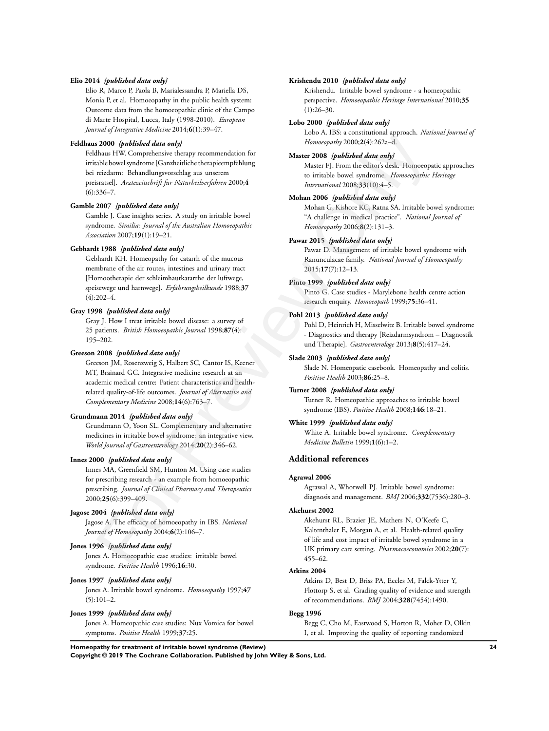#### **Elio 2014** *{published data only}*

Elio R, Marco P, Paola B, Marialessandra P, Mariella DS, Monia P, et al. Homoeopathy in the public health system: Outcome data from the homoeopathic clinic of the Campo di Marte Hospital, Lucca, Italy (1998-2010). *European Journal of Integrative Medicine* 2014;**6**(1):39–47.

#### **Feldhaus 2000** *{published data only}*

Feldhaus HW. Comprehensive therapy recommendation for irritable bowel syndrome [Ganzheitliche therapieempfehlung bei reizdarm: Behandlungsvorschlag aus unserem preisratsel]. *Arztezeitschrift fur Naturheilverfahren* 2000;**4** (6):336–7.

#### **Gamble 2007** *{published data only}*

Gamble J. Case insights series. A study on irritable bowel syndrome. *Similia: Journal of the Australian Homoeopathic Association* 2007;**19**(1):19–21.

## **Gebhardt 1988** *{published data only}*

Gebhardt KH. Homeopathy for catarrh of the mucous membrane of the air routes, intestines and urinary tract [Homootherapie der schleimhautkatarrhe der luftwege, speisewege und harnwege]. *Erfahrungsheilkunde* 1988;**37**  $(4):202-4.$ 

#### **Gray 1998** *{published data only}*

Gray J. How I treat irritable bowel disease: a survey of 25 patients. *British Homoeopathic Journal* 1998;**87**(4): 195–202.

#### **Greeson 2008** *{published data only}*

Greeson JM, Rosenzweig S, Halbert SC, Cantor IS, Keener MT, Brainard GC. Integrative medicine research at an academic medical centre: Patient characteristics and healthrelated quality-of-life outcomes. *Journal of Alternative and Complementary Medicine* 2008;**14**(6):763–7. **2000** *ignuidiated data only* (*Freemological* Contents) (*Freemological* 2008).<br> **Altitude data only (***Freemological Pacifical Contents)* **(***Freemological Contents)***<br>

<b>Altitude data only (***Free Contents)*<br> **Altitude d** 

#### **Grundmann 2014** *{published data only}*

Grundmann O, Yoon SL. Complementary and alternative medicines in irritable bowel syndrome: an integrative view. *World Journal of Gastroenterology* 2014;**20**(2):346–62.

#### **Innes 2000** *{published data only}*

Innes MA, Greenfield SM, Hunton M. Using case studies for prescribing research - an example from homoeopathic prescribing. *Journal of Clinical Pharmacy and Therapeutics* 2000;**25**(6):399–409.

#### **Jagose 2004** *{published data only}*

Jagose A. The efficacy of homoeopathy in IBS. *National Journal of Homoeopathy* 2004;**6**(2):106–7.

#### **Jones 1996** *{published data only}*

Jones A. Homoeopathic case studies: irritable bowel syndrome. *Positive Health* 1996;**16**:30.

#### **Jones 1997** *{published data only}*

Jones A. Irritable bowel syndrome. *Homoeopathy* 1997;**47**  $(5):101-2.$ 

#### **Jones 1999** *{published data only}*

Jones A. Homeopathic case studies: Nux Vomica for bowel symptoms. *Positive Health* 1999;**37**:25.

#### **Krishendu 2010** *{published data only}*

Krishendu. Irritable bowel syndrome - a homeopathic perspective. *Homoeopathic Heritage International* 2010;**35**  $(1):26-30.$ 

#### **Lobo 2000** *{published data only}*

Lobo A. IBS: a constitutional approach. *National Journal of Homoeopathy* 2000;**2**(4):262a–d.

#### **Master 2008** *{published data only}*

Master FJ. From the editor's desk. Homoeopatic approaches to irritable bowel syndrome. *Homoeopathic Heritage International* 2008;**33**(10):4–5.

#### **Mohan 2006** *{published data only}*

Mohan G, Kishore KC, Ratna SA. Irritable bowel syndrome: "A challenge in medical practice". *National Journal of Homoeopathy* 2006;**8**(2):131–3.

#### **Pawar 2015** *{published data only}*

Pawar D. Management of irritable bowel syndrome with Ranunculacae family. *National Journal of Homoeopathy* 2015;**17**(7):12–13.

#### **Pinto 1999** *{published data only}*

Pinto G. Case studies - Marylebone health centre action research enquiry. *Homoeopath* 1999;**75**:36–41.

#### **Pohl 2013** *{published data only}*

Pohl D, Heinrich H, Misselwitz B. Irritable bowel syndrome - Diagnostics and therapy [Reizdarmsyndrom – Diagnostik und Therapie]. *Gastroenterologe* 2013;**8**(5):417–24.

#### **Slade 2003** *{published data only}*

Slade N. Homeopatic casebook. Homeopathy and colitis. *Positive Health* 2003;**86**:25–8.

#### **Turner 2008** *{published data only}*

Turner R. Homeopathic approaches to irritable bowel syndrome (IBS). *Positive Health* 2008;**146**:18–21.

#### **White 1999** *{published data only}*

White A. Irritable bowel syndrome. *Complementary Medicine Bulletin* 1999;**1**(6):1–2.

#### **Additional references**

#### **Agrawal 2006**

Agrawal A, Whorwell PJ. Irritable bowel syndrome: diagnosis and management. *BMJ* 2006;**332**(7536):280–3.

#### **Akehurst 2002**

Akehurst RL, Brazier JE, Mathers N, O'Keefe C, Kaltenthaler E, Morgan A, et al. Health-related quality of life and cost impact of irritable bowel syndrome in a UK primary care setting. *Pharmacoeconomics* 2002;**20**(7): 455–62.

#### **Atkins 2004**

Atkins D, Best D, Briss PA, Eccles M, Falck-Ytter Y, Flottorp S, et al. Grading quality of evidence and strength of recommendations. *BMJ* 2004;**328**(7454):1490.

#### **Begg 1996**

Begg C, Cho M, Eastwood S, Horton R, Moher D, Olkin I, et al. Improving the quality of reporting randomized

**Homeopathy for treatment of irritable bowel syndrome (Review) 24**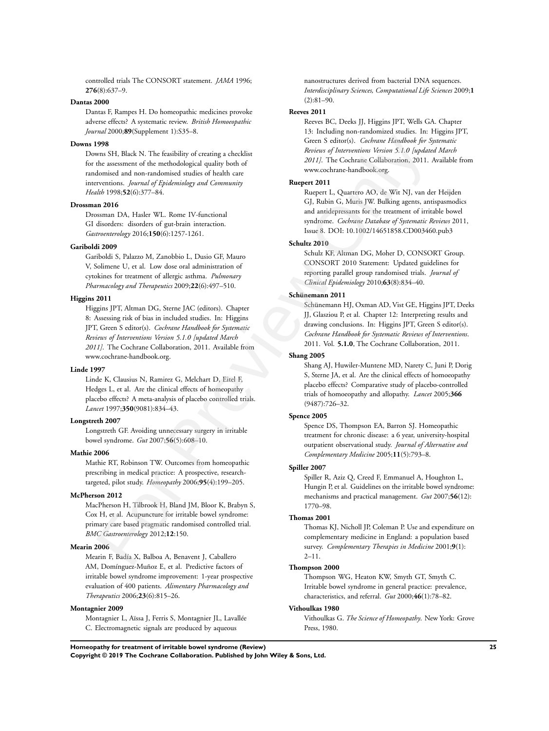controlled trials The CONSORT statement. *JAMA* 1996; **276**(8):637–9.

#### **Dantas 2000**

Dantas F, Rampes H. Do homeopathic medicines provoke adverse effects? A systematic review. *British Homoeopathic Journal* 2000;**89**(Supplement 1):S35–8.

#### **Downs 1998**

Downs SH, Black N. The feasibility of creating a checklist for the assessment of the methodological quality both of randomised and non-randomised studies of health care interventions. *Journal of Epidemiology and Community Health* 1998;**52**(6):377–84.

#### **Drossman 2016**

Drossman DA, Hasler WL. Rome IV-functional GI disorders: disorders of gut-brain interaction. *Gastroenterology* 2016;**150**(6):1257-1261.

#### **Gariboldi 2009**

Gariboldi S, Palazzo M, Zanobbio L, Dusio GF, Mauro V, Solimene U, et al. Low dose oral administration of cytokines for treatment of allergic asthma. *Pulmonary Pharmacology and Therapeutics* 2009;**22**(6):497–510.

#### **Higgins 2011**

Higgins JPT, Altman DG, Sterne JAC (editors). Chapter 8: Assessing risk of bias in included studies. In: Higgins JPT, Green S editor(s). *Cochrane Handbook for Systematic Reviews of Interventions Version 5.1.0 [updated March 2011]*. The Cochrane Collaboration, 2011. Available from www.cochrane-handbook.org. 1998<br>
1998<br>
1998<br>
1998<br>
1998<br>
1998<br>
1998<br>
1998<br>
1998<br>
1998<br>
1998<br>
1998<br>
1998<br>
1998<br>
1998<br>
1998<br>
1998<br>
1998<br>
1998<br>
1998<br>
1998<br>
1998<br>
1998<br>
1998<br>
1998<br>
1998<br>
1998<br>
1998<br>
1998<br>
1998<br>
1998<br>
1998<br>
1998<br>
1998<br>
1998<br>
1998<br>
1998<br>

#### **Linde 1997**

Linde K, Clausius N, Ramirez G, Melchart D, Eitel F, Hedges L, et al. Are the clinical effects of homeopathy placebo effects? A meta-analysis of placebo controlled trials. *Lancet* 1997;**350**(9081):834–43.

#### **Longstreth 2007**

Longstreth GF. Avoiding unnecessary surgery in irritable bowel syndrome. *Gut* 2007;**56**(5):608–10.

#### **Mathie 2006**

Mathie RT, Robinson TW. Outcomes from homeopathic prescribing in medical practice: A prospective, researchtargeted, pilot study. *Homeopathy* 2006;**95**(4):199–205.

#### **McPherson 2012**

MacPherson H, Tilbrook H, Bland JM, Bloor K, Brabyn S, Cox H, et al. Acupuncture for irritable bowel syndrome: primary care based pragmatic randomised controlled trial. *BMC Gastroenterology* 2012;**12**:150.

#### **Mearin 2006**

Mearin F, Badía X, Balboa A, Benavent J, Caballero AM, Domínguez-Muñoz E, et al. Predictive factors of irritable bowel syndrome improvement: 1-year prospective evaluation of 400 patients. *Alimentary Pharmacology and Therapeutics* 2006;**23**(6):815–26.

#### **Montagnier 2009**

Montagnier L, Aïssa J, Ferris S, Montagnier JL, Lavallée C. Electromagnetic signals are produced by aqueous

nanostructures derived from bacterial DNA sequences. *Interdisciplinary Sciences, Computational Life Sciences* 2009;**1**  $(2):81-90.$ 

#### **Reeves 2011**

Reeves BC, Deeks JJ, Higgins JPT, Wells GA. Chapter 13: Including non-randomized studies. In: Higgins JPT, Green S editor(s). *Cochrane Handbook for Systematic Reviews of Interventions Version 5.1.0 [updated March 2011]*. The Cochrane Collaboration, 2011. Available from www.cochrane-handbook.org.

#### **Ruepert 2011**

Ruepert L, Quartero AO, de Wit NJ, van der Heijden GJ, Rubin G, Muris JW. Bulking agents, antispasmodics and antidepressants for the treatment of irritable bowel syndrome. *Cochrane Database of Systematic Reviews* 2011, Issue 8. DOI: 10.1002/14651858.CD003460.pub3

#### **Schultz 2010**

Schulz KF, Altman DG, Moher D, CONSORT Group. CONSORT 2010 Statement: Updated guidelines for reporting parallel group randomised trials. *Journal of Clinical Epidemiology* 2010;**63**(8):834–40.

#### **Schünemann 2011**

Schünemann HJ, Oxman AD, Vist GE, Higgins JPT, Deeks JJ, Glasziou P, et al. Chapter 12: Interpreting results and drawing conclusions. In: Higgins JPT, Green S editor(s). *Cochrane Handbook for Systematic Reviews of Interventions*. 2011. Vol. **5.1.0**, The Cochrane Collaboration, 2011.

#### **Shang 2005**

Shang AJ, Huwiler-Muntene MD, Narety C, Juni P, Dorig S, Sterne JA, et al. Are the clinical effects of homoeopathy placebo effects? Comparative study of placebo-controlled trials of homoeopathy and allopathy. *Lancet* 2005;**366** (9487):726–32.

#### **Spence 2005**

Spence DS, Thompson EA, Barron SJ. Homeopathic treatment for chronic disease: a 6 year, university-hospital outpatient observational study. *Journal of Alternative and Complementary Medicine* 2005;**11**(5):793–8.

#### **Spiller 2007**

Spiller R, Aziz Q, Creed F, Emmanuel A, Houghton L, Hungin P, et al. Guidelines on the irritable bowel syndrome: mechanisms and practical management. *Gut* 2007;**56**(12): 1770–98.

## **Thomas 2001**

Thomas KJ, Nicholl JP, Coleman P. Use and expenditure on complementary medicine in England: a population based survey. *Complementary Therapies in Medicine* 2001;**9**(1):  $2 - 11$ .

#### **Thompson 2000**

Thompson WG, Heaton KW, Smyth GT, Smyth C. Irritable bowel syndrome in general practice: prevalence, characteristics, and referral. *Gut* 2000;**46**(1):78–82.

#### **Vithoulkas 1980**

Vithoulkas G. *The Science of Homeopathy*. New York: Grove Press, 1980.

**Homeopathy for treatment of irritable bowel syndrome (Review) 25**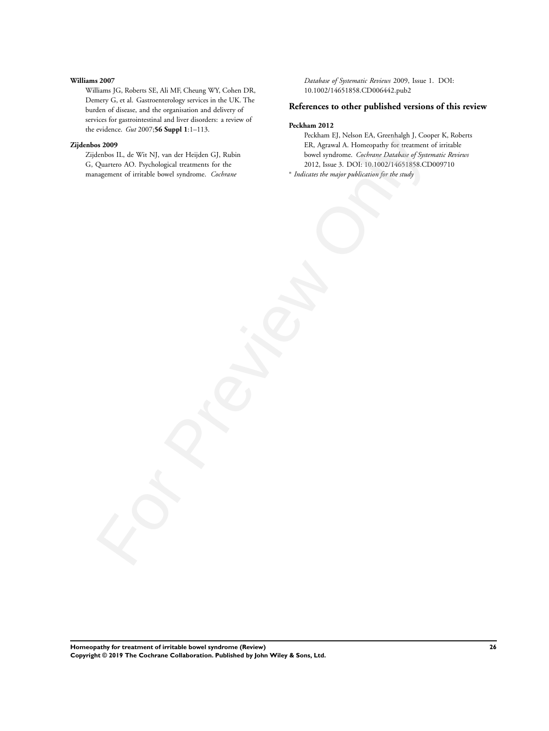#### **Williams 2007**

Williams JG, Roberts SE, Ali MF, Cheung WY, Cohen DR, Demery G, et al. Gastroenterology services in the UK. The burden of disease, and the organisation and delivery of services for gastrointestinal and liver disorders: a review of the evidence. *Gut* 2007;**56 Suppl 1**:1–113.

#### **Zijdenbos 2009**

Zijdenbos IL, de Wit NJ, van der Heijden GJ, Rubin G, Quartero AO. Psychological treatments for the management of irritable bowel syndrome. *Cochrane*

*Database of Systematic Reviews* 2009, Issue 1. DOI: 10.1002/14651858.CD006442.pub2

#### **References to other published versions of this review**

#### **Peckham 2012**

Peckham EJ, Nelson EA, Greenhalgh J, Cooper K, Roberts ER, Agrawal A. Homeopathy for treatment of irritable bowel syndrome. *Cochrane Database of Systematic Reviews* 2012, Issue 3. DOI: 10.1002/14651858.CD009710 ∗ *Indicates the major publication for the study* **are able to the contract of the contract of the contract of the Contract of the Contract of the Contract of the Contract of the Contract of the Contract of the Contract of the Contract of the Contract of the Contract of**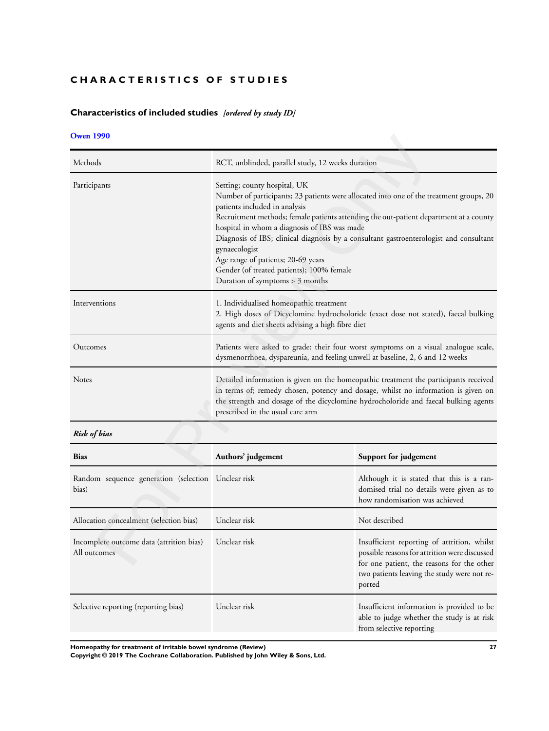# **CHARACTERISTICS OF STUDIES**

# **Characteristics of included studies** *[ordered by study ID]*

# **Owen 1990**

| <b>Owen 1990</b>                                            |                                                                                                                                                                                                                                                                                                                                                                                                                                                                                                                                    |                                                                                                                                            |  |  |
|-------------------------------------------------------------|------------------------------------------------------------------------------------------------------------------------------------------------------------------------------------------------------------------------------------------------------------------------------------------------------------------------------------------------------------------------------------------------------------------------------------------------------------------------------------------------------------------------------------|--------------------------------------------------------------------------------------------------------------------------------------------|--|--|
| Methods                                                     | RCT, unblinded, parallel study, 12 weeks duration                                                                                                                                                                                                                                                                                                                                                                                                                                                                                  |                                                                                                                                            |  |  |
| Participants                                                | Setting; county hospital, UK<br>Number of participants; 23 patients were allocated into one of the treatment groups, 20<br>patients included in analysis<br>Recruitment methods; female patients attending the out-patient department at a county<br>hospital in whom a diagnosis of IBS was made<br>Diagnosis of IBS; clinical diagnosis by a consultant gastroenterologist and consultant<br>gynaecologist<br>Age range of patients; 20-69 years<br>Gender (of treated patients); 100% female<br>Duration of symptoms > 3 months |                                                                                                                                            |  |  |
| Interventions                                               | 1. Individualised homeopathic treatment<br>2. High doses of Dicyclomine hydrocholoride (exact dose not stated), faecal bulking<br>agents and diet sheets advising a high fibre diet                                                                                                                                                                                                                                                                                                                                                |                                                                                                                                            |  |  |
| Outcomes                                                    | Patients were asked to grade: their four worst symptoms on a visual analogue scale,<br>dysmenorrhoea, dyspareunia, and feeling unwell at baseline, 2, 6 and 12 weeks                                                                                                                                                                                                                                                                                                                                                               |                                                                                                                                            |  |  |
| Notes                                                       | Detailed information is given on the homeopathic treatment the participants received<br>in terms of; remedy chosen, potency and dosage, whilst no information is given on<br>the strength and dosage of the dicyclomine hydrocholoride and faecal bulking agents<br>prescribed in the usual care arm                                                                                                                                                                                                                               |                                                                                                                                            |  |  |
| <b>Risk of bias</b>                                         |                                                                                                                                                                                                                                                                                                                                                                                                                                                                                                                                    |                                                                                                                                            |  |  |
| <b>Bias</b>                                                 | Authors' judgement                                                                                                                                                                                                                                                                                                                                                                                                                                                                                                                 | Support for judgement                                                                                                                      |  |  |
| Random sequence generation (selection Unclear risk<br>bias) |                                                                                                                                                                                                                                                                                                                                                                                                                                                                                                                                    | Although it is stated that this is a ran-<br>domised trial no details were given as to<br>how randomisation was achieved                   |  |  |
| Allocation concealment (selection bias)                     | Unclear risk                                                                                                                                                                                                                                                                                                                                                                                                                                                                                                                       | Not described                                                                                                                              |  |  |
| Incomplete outcome data (attrition bias)<br>All outcomes    | Unclear risk                                                                                                                                                                                                                                                                                                                                                                                                                                                                                                                       | Insufficient reporting of attrition, whilst<br>possible reasons for attrition were discussed<br>for one patient, the reasons for the other |  |  |

# *Risk of bias*

| <b>Bias</b>                                                 | Authors' judgement | Support for judgement                                                                                                                                                                               |
|-------------------------------------------------------------|--------------------|-----------------------------------------------------------------------------------------------------------------------------------------------------------------------------------------------------|
| Random sequence generation (selection Unclear risk<br>bias) |                    | Although it is stated that this is a ran-<br>domised trial no details were given as to<br>how randomisation was achieved                                                                            |
| Allocation concealment (selection bias)                     | Unclear risk       | Not described                                                                                                                                                                                       |
| Incomplete outcome data (attrition bias)<br>All outcomes    | Unclear risk       | Insufficient reporting of attrition, whilst<br>possible reasons for attrition were discussed<br>for one patient, the reasons for the other<br>two patients leaving the study were not re-<br>ported |
| Selective reporting (reporting bias)                        | Unclear risk       | Insufficient information is provided to be<br>able to judge whether the study is at risk<br>from selective reporting                                                                                |

**Homeopathy for treatment of irritable bowel syndrome (Review) 27**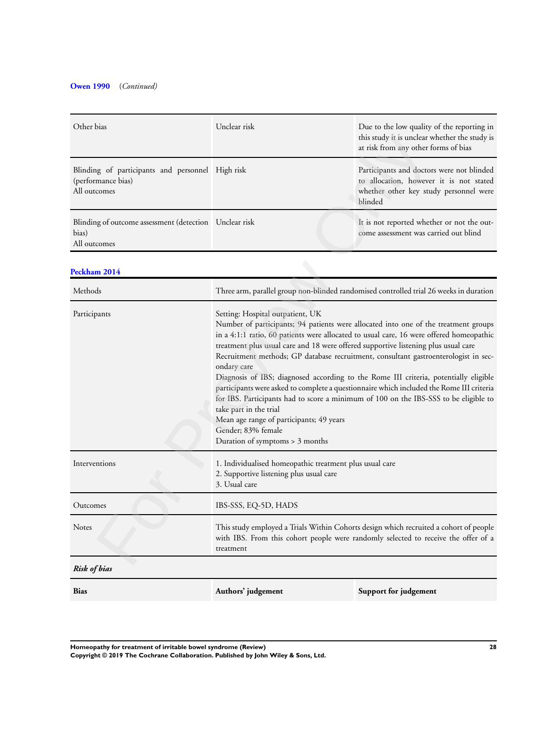# **Owen 1990** (*Continued)*

| Other bias                                                                             | Unclear risk | Due to the low quality of the reporting in<br>this study it is unclear whether the study is<br>at risk from any other forms of bias       |
|----------------------------------------------------------------------------------------|--------------|-------------------------------------------------------------------------------------------------------------------------------------------|
| Blinding of participants and personnel High risk<br>(performance bias)<br>All outcomes |              | Participants and doctors were not blinded<br>to allocation, however it is not stated<br>whether other key study personnel were<br>blinded |
| Blinding of outcome assessment (detection Unclear risk<br>bias)<br>All outcomes        |              | It is not reported whether or not the out-<br>come assessment was carried out blind                                                       |

# **Peckham 2014**

|                                                                                        |                                                                                                                                                                                                                                                                                                                                                                                                                                                                                                                                                                                                                                                                                                                                                                                                                           | this study it is unclear whether the study is<br>at risk from any other forms of bias                                                     |  |
|----------------------------------------------------------------------------------------|---------------------------------------------------------------------------------------------------------------------------------------------------------------------------------------------------------------------------------------------------------------------------------------------------------------------------------------------------------------------------------------------------------------------------------------------------------------------------------------------------------------------------------------------------------------------------------------------------------------------------------------------------------------------------------------------------------------------------------------------------------------------------------------------------------------------------|-------------------------------------------------------------------------------------------------------------------------------------------|--|
| Blinding of participants and personnel High risk<br>(performance bias)<br>All outcomes |                                                                                                                                                                                                                                                                                                                                                                                                                                                                                                                                                                                                                                                                                                                                                                                                                           | Participants and doctors were not blinded<br>to allocation, however it is not stated<br>whether other key study personnel were<br>blinded |  |
| Blinding of outcome assessment (detection Unclear risk<br>bias)<br>All outcomes        |                                                                                                                                                                                                                                                                                                                                                                                                                                                                                                                                                                                                                                                                                                                                                                                                                           | It is not reported whether or not the out-<br>come assessment was carried out blind                                                       |  |
| Peckham 2014                                                                           |                                                                                                                                                                                                                                                                                                                                                                                                                                                                                                                                                                                                                                                                                                                                                                                                                           |                                                                                                                                           |  |
| Methods                                                                                |                                                                                                                                                                                                                                                                                                                                                                                                                                                                                                                                                                                                                                                                                                                                                                                                                           | Three arm, parallel group non-blinded randomised controlled trial 26 weeks in duration                                                    |  |
| Participants                                                                           | Setting: Hospital outpatient, UK<br>Number of participants; 94 patients were allocated into one of the treatment groups<br>in a 4:1:1 ratio, 60 patients were allocated to usual care, 16 were offered homeopathic<br>treatment plus usual care and 18 were offered supportive listening plus usual care<br>Recruitment methods; GP database recruitment, consultant gastroenterologist in sec-<br>ondary care<br>Diagnosis of IBS; diagnosed according to the Rome III criteria, potentially eligible<br>participants were asked to complete a questionnaire which included the Rome III criteria<br>for IBS. Participants had to score a minimum of 100 on the IBS-SSS to be eligible to<br>take part in the trial<br>Mean age range of participants; 49 years<br>Gender; 83% female<br>Duration of symptoms > 3 months |                                                                                                                                           |  |
| Interventions                                                                          | 1. Individualised homeopathic treatment plus usual care<br>2. Supportive listening plus usual care<br>3. Usual care                                                                                                                                                                                                                                                                                                                                                                                                                                                                                                                                                                                                                                                                                                       |                                                                                                                                           |  |
| Outcomes                                                                               | IBS-SSS, EQ-5D, HADS                                                                                                                                                                                                                                                                                                                                                                                                                                                                                                                                                                                                                                                                                                                                                                                                      |                                                                                                                                           |  |
| <b>Notes</b>                                                                           | This study employed a Trials Within Cohorts design which recruited a cohort of people<br>with IBS. From this cohort people were randomly selected to receive the offer of a<br>treatment                                                                                                                                                                                                                                                                                                                                                                                                                                                                                                                                                                                                                                  |                                                                                                                                           |  |
| <b>Risk of bias</b>                                                                    |                                                                                                                                                                                                                                                                                                                                                                                                                                                                                                                                                                                                                                                                                                                                                                                                                           |                                                                                                                                           |  |
| <b>Bias</b>                                                                            | Authors' judgement                                                                                                                                                                                                                                                                                                                                                                                                                                                                                                                                                                                                                                                                                                                                                                                                        | Support for judgement                                                                                                                     |  |

**Homeopathy for treatment of irritable bowel syndrome (Review) 28**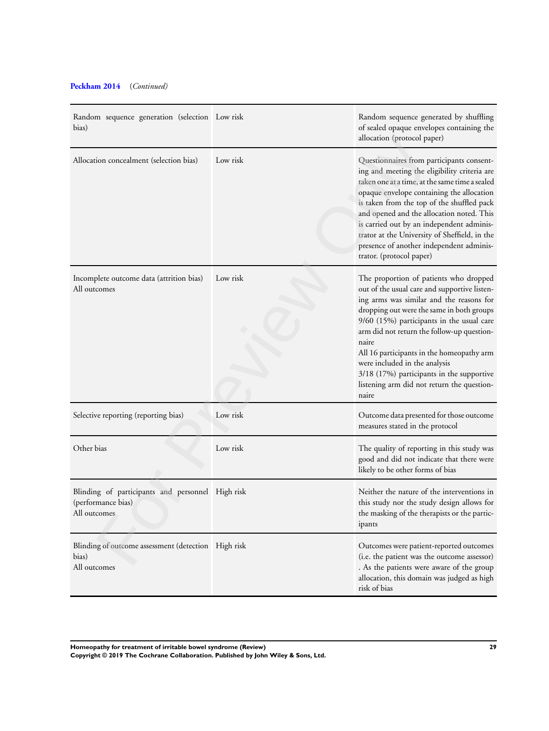# **Peckham 2014** (*Continued)*

| Random sequence generation (selection Low risk<br>bias)                                |          | Random sequence generated by shuffling<br>of sealed opaque envelopes containing the<br>allocation (protocol paper)                                                                                                                                                                                                                                                                                                                                                    |
|----------------------------------------------------------------------------------------|----------|-----------------------------------------------------------------------------------------------------------------------------------------------------------------------------------------------------------------------------------------------------------------------------------------------------------------------------------------------------------------------------------------------------------------------------------------------------------------------|
| Allocation concealment (selection bias)                                                | Low risk | Questionnaires from participants consent-<br>ing and meeting the eligibility criteria are<br>taken one at a time, at the same time a sealed<br>opaque envelope containing the allocation<br>is taken from the top of the shuffled pack<br>and opened and the allocation noted. This<br>is carried out by an independent adminis-<br>trator at the University of Sheffield, in the<br>presence of another independent adminis-<br>trator. (protocol paper)             |
| Incomplete outcome data (attrition bias)<br>All outcomes                               | Low risk | The proportion of patients who dropped<br>out of the usual care and supportive listen-<br>ing arms was similar and the reasons for<br>dropping out were the same in both groups<br>9/60 (15%) participants in the usual care<br>arm did not return the follow-up question-<br>naire<br>All 16 participants in the homeopathy arm<br>were included in the analysis<br>3/18 (17%) participants in the supportive<br>listening arm did not return the question-<br>naire |
| Selective reporting (reporting bias)                                                   | Low risk | Outcome data presented for those outcome<br>measures stated in the protocol                                                                                                                                                                                                                                                                                                                                                                                           |
| Other bias                                                                             | Low risk | The quality of reporting in this study was<br>good and did not indicate that there were<br>likely to be other forms of bias                                                                                                                                                                                                                                                                                                                                           |
| Blinding of participants and personnel High risk<br>(performance bias)<br>All outcomes |          | Neither the nature of the interventions in<br>this study nor the study design allows for<br>the masking of the therapists or the partic-<br>ipants                                                                                                                                                                                                                                                                                                                    |
| Blinding of outcome assessment (detection High risk<br>bias)<br>All outcomes           |          | Outcomes were patient-reported outcomes<br>(i.e. the patient was the outcome assessor)<br>. As the patients were aware of the group<br>allocation, this domain was judged as high<br>risk of bias                                                                                                                                                                                                                                                                     |

**Homeopathy for treatment of irritable bowel syndrome (Review) 29 Copyright © 2019 The Cochrane Collaboration. Published by John Wiley & Sons, Ltd.**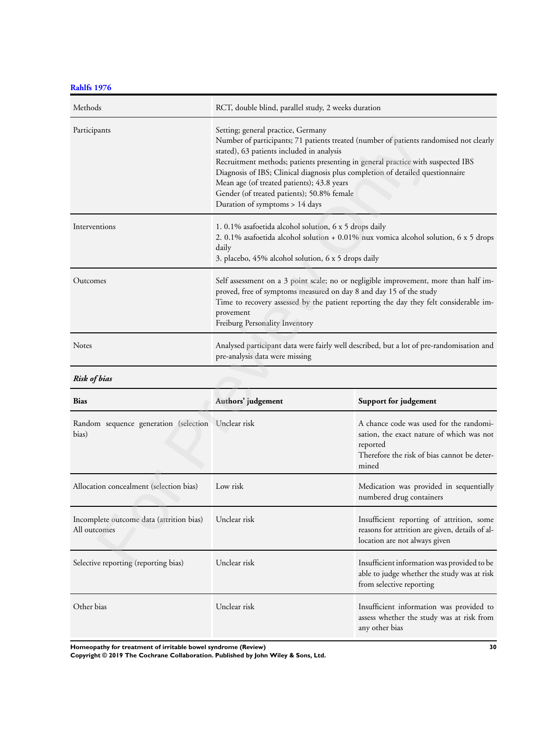**Rahlfs 1976**

| Methods                                                     | RCT, double blind, parallel study, 2 weeks duration                                                                                                                                                                                                                                                                                                                                                                                                                          |                                                                                                                                                          |  |  |  |
|-------------------------------------------------------------|------------------------------------------------------------------------------------------------------------------------------------------------------------------------------------------------------------------------------------------------------------------------------------------------------------------------------------------------------------------------------------------------------------------------------------------------------------------------------|----------------------------------------------------------------------------------------------------------------------------------------------------------|--|--|--|
| Participants                                                | Setting; general practice, Germany<br>Number of participants; 71 patients treated (number of patients randomised not clearly<br>stated), 63 patients included in analysis<br>Recruitment methods; patients presenting in general practice with suspected IBS<br>Diagnosis of IBS; Clinical diagnosis plus completion of detailed questionnaire<br>Mean age (of treated patients); 43.8 years<br>Gender (of treated patients); 50.8% female<br>Duration of symptoms > 14 days |                                                                                                                                                          |  |  |  |
| Interventions                                               | 1. 0.1% asafoetida alcohol solution, 6 x 5 drops daily<br>2. 0.1% asafoetida alcohol solution + 0.01% nux vomica alcohol solution, 6 x 5 drops<br>daily<br>3. placebo, 45% alcohol solution, 6 x 5 drops daily                                                                                                                                                                                                                                                               |                                                                                                                                                          |  |  |  |
| Outcomes                                                    | Self assessment on a 3 point scale; no or negligible improvement, more than half im-<br>proved, free of symptoms measured on day 8 and day 15 of the study<br>Time to recovery assessed by the patient reporting the day they felt considerable im-<br>provement<br>Freiburg Personality Inventory                                                                                                                                                                           |                                                                                                                                                          |  |  |  |
| Notes                                                       | Analysed participant data were fairly well described, but a lot of pre-randomisation and<br>pre-analysis data were missing                                                                                                                                                                                                                                                                                                                                                   |                                                                                                                                                          |  |  |  |
| <b>Risk of bias</b>                                         |                                                                                                                                                                                                                                                                                                                                                                                                                                                                              |                                                                                                                                                          |  |  |  |
| <b>Bias</b>                                                 | Authors' judgement                                                                                                                                                                                                                                                                                                                                                                                                                                                           | Support for judgement                                                                                                                                    |  |  |  |
| Random sequence generation (selection Unclear risk<br>bias) |                                                                                                                                                                                                                                                                                                                                                                                                                                                                              | A chance code was used for the randomi-<br>sation, the exact nature of which was not<br>reported<br>Therefore the risk of bias cannot be deter-<br>mined |  |  |  |
| Allocation concealment (selection bias)                     | Low risk<br>Medication was provided in sequentially<br>numbered drug containers                                                                                                                                                                                                                                                                                                                                                                                              |                                                                                                                                                          |  |  |  |
| Incomplete outcome data (attrition bias)<br>All outcomes    | Unclear risk<br>Insufficient reporting of attrition, some<br>reasons for attrition are given, details of al-<br>location are not always given                                                                                                                                                                                                                                                                                                                                |                                                                                                                                                          |  |  |  |
| Selective reporting (reporting bias)                        | Unclear risk<br>Insufficient information was provided to be                                                                                                                                                                                                                                                                                                                                                                                                                  |                                                                                                                                                          |  |  |  |

# *Risk of bias*

| <b>Bias</b>                                                 | Authors' judgement | Support for judgement                                                                                                                                    |
|-------------------------------------------------------------|--------------------|----------------------------------------------------------------------------------------------------------------------------------------------------------|
| Random sequence generation (selection Unclear risk<br>bias) |                    | A chance code was used for the randomi-<br>sation, the exact nature of which was not<br>reported<br>Therefore the risk of bias cannot be deter-<br>mined |
| Allocation concealment (selection bias)                     | Low risk           | Medication was provided in sequentially<br>numbered drug containers                                                                                      |
| Incomplete outcome data (attrition bias)<br>All outcomes    | Unclear risk       | Insufficient reporting of attrition, some<br>reasons for attrition are given, details of al-<br>location are not always given                            |
| Selective reporting (reporting bias)                        | Unclear risk       | Insufficient information was provided to be<br>able to judge whether the study was at risk<br>from selective reporting                                   |
| Other bias                                                  | Unclear risk       | Insufficient information was provided to<br>assess whether the study was at risk from<br>any other bias                                                  |

**Homeopathy for treatment of irritable bowel syndrome (Review) 30**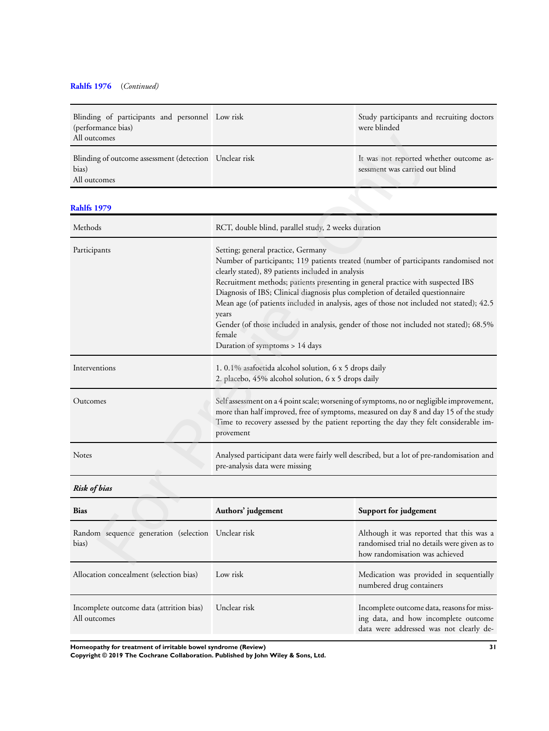# **Rahlfs 1976** (*Continued)*

| Blinding of participants and personnel Low risk<br>(performance bias)<br>All outcomes |                                                                                                                                                                                                                                                                                                                                                                                                                                                                                                                                                                                                | Study participants and recruiting doctors<br>were blinded                                                                  |  |
|---------------------------------------------------------------------------------------|------------------------------------------------------------------------------------------------------------------------------------------------------------------------------------------------------------------------------------------------------------------------------------------------------------------------------------------------------------------------------------------------------------------------------------------------------------------------------------------------------------------------------------------------------------------------------------------------|----------------------------------------------------------------------------------------------------------------------------|--|
| Blinding of outcome assessment (detection Unclear risk<br>bias)<br>All outcomes       |                                                                                                                                                                                                                                                                                                                                                                                                                                                                                                                                                                                                | It was not reported whether outcome as-<br>sessment was carried out blind                                                  |  |
| <b>Rahlfs 1979</b>                                                                    |                                                                                                                                                                                                                                                                                                                                                                                                                                                                                                                                                                                                |                                                                                                                            |  |
| Methods                                                                               | RCT, double blind, parallel study, 2 weeks duration                                                                                                                                                                                                                                                                                                                                                                                                                                                                                                                                            |                                                                                                                            |  |
| Participants                                                                          | Setting; general practice, Germany<br>Number of participants; 119 patients treated (number of participants randomised not<br>clearly stated), 89 patients included in analysis<br>Recruitment methods; patients presenting in general practice with suspected IBS<br>Diagnosis of IBS; Clinical diagnosis plus completion of detailed questionnaire<br>Mean age (of patients included in analysis, ages of those not included not stated); 42.5<br>years<br>Gender (of those included in analysis, gender of those not included not stated); 68.5%<br>female<br>Duration of symptoms > 14 days |                                                                                                                            |  |
| Interventions                                                                         | 1. 0.1% asafoetida alcohol solution, 6 x 5 drops daily<br>2. placebo, 45% alcohol solution, 6 x 5 drops daily                                                                                                                                                                                                                                                                                                                                                                                                                                                                                  |                                                                                                                            |  |
| Outcomes                                                                              | Self assessment on a 4 point scale; worsening of symptoms, no or negligible improvement,<br>more than half improved, free of symptoms, measured on day 8 and day 15 of the study<br>Time to recovery assessed by the patient reporting the day they felt considerable im-<br>provement                                                                                                                                                                                                                                                                                                         |                                                                                                                            |  |
| Notes                                                                                 | Analysed participant data were fairly well described, but a lot of pre-randomisation and<br>pre-analysis data were missing                                                                                                                                                                                                                                                                                                                                                                                                                                                                     |                                                                                                                            |  |
| <b>Risk of bias</b>                                                                   |                                                                                                                                                                                                                                                                                                                                                                                                                                                                                                                                                                                                |                                                                                                                            |  |
| <b>Bias</b>                                                                           | Authors' judgement                                                                                                                                                                                                                                                                                                                                                                                                                                                                                                                                                                             | Support for judgement                                                                                                      |  |
| Random sequence generation (selection Unclear risk<br>bias)                           |                                                                                                                                                                                                                                                                                                                                                                                                                                                                                                                                                                                                | Although it was reported that this was a<br>randomised trial no details were given as to<br>how randomisation was achieved |  |

| <b>Risk of bias</b> |  |
|---------------------|--|
|                     |  |

| <b>Bias</b>                                                 | Authors' judgement | Support for judgement                                                                                                         |
|-------------------------------------------------------------|--------------------|-------------------------------------------------------------------------------------------------------------------------------|
| Random sequence generation (selection Unclear risk<br>bias) |                    | Although it was reported that this was a<br>randomised trial no details were given as to<br>how randomisation was achieved    |
| Allocation concealment (selection bias)                     | Low risk           | Medication was provided in sequentially<br>numbered drug containers                                                           |
| Incomplete outcome data (attrition bias)<br>All outcomes    | Unclear risk       | Incomplete outcome data, reasons for miss-<br>ing data, and how incomplete outcome<br>data were addressed was not clearly de- |

**Homeopathy for treatment of irritable bowel syndrome (Review) 31**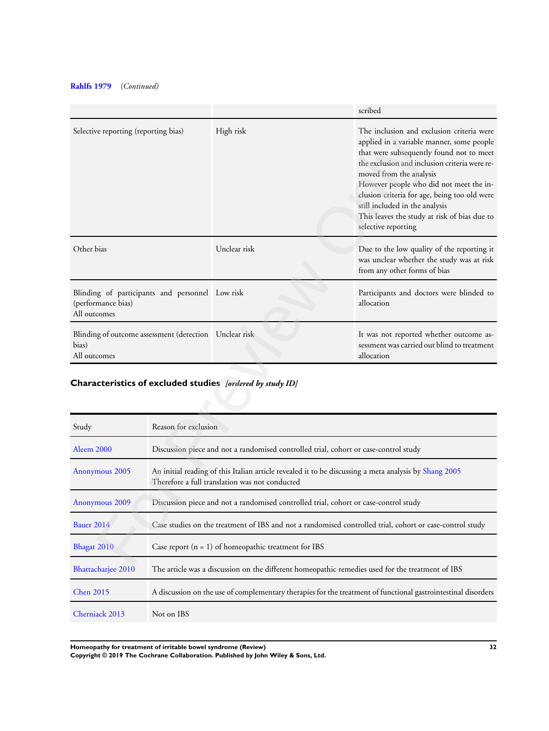# **Rahlfs 1979** (*Continued)*

|                                                                                       |                                                                                                                                                         |                                                           | scribed                                                                                                                                                                                                                                                                                                                                                                                                            |  |
|---------------------------------------------------------------------------------------|---------------------------------------------------------------------------------------------------------------------------------------------------------|-----------------------------------------------------------|--------------------------------------------------------------------------------------------------------------------------------------------------------------------------------------------------------------------------------------------------------------------------------------------------------------------------------------------------------------------------------------------------------------------|--|
| Selective reporting (reporting bias)                                                  |                                                                                                                                                         | High risk                                                 | The inclusion and exclusion criteria were<br>applied in a variable manner, some people<br>that were subsequently found not to meet<br>the exclusion and inclusion criteria were re-<br>moved from the analysis<br>However people who did not meet the in-<br>clusion criteria for age, being too old were<br>still included in the analysis<br>This leaves the study at risk of bias due to<br>selective reporting |  |
| Other bias                                                                            |                                                                                                                                                         | Unclear risk                                              | Due to the low quality of the reporting it<br>was unclear whether the study was at risk<br>from any other forms of bias                                                                                                                                                                                                                                                                                            |  |
| Blinding of participants and personnel Low risk<br>(performance bias)<br>All outcomes |                                                                                                                                                         |                                                           | Participants and doctors were blinded to<br>allocation                                                                                                                                                                                                                                                                                                                                                             |  |
| Blinding of outcome assessment (detection Unclear risk<br>bias)<br>All outcomes       |                                                                                                                                                         |                                                           | It was not reported whether outcome as-<br>sessment was carried out blind to treatment<br>allocation                                                                                                                                                                                                                                                                                                               |  |
|                                                                                       |                                                                                                                                                         | Characteristics of excluded studies [ordered by study ID] |                                                                                                                                                                                                                                                                                                                                                                                                                    |  |
| Study                                                                                 | Reason for exclusion                                                                                                                                    |                                                           |                                                                                                                                                                                                                                                                                                                                                                                                                    |  |
| Aleem 2000                                                                            | Discussion piece and not a randomised controlled trial, cohort or case-control study                                                                    |                                                           |                                                                                                                                                                                                                                                                                                                                                                                                                    |  |
| Anonymous 2005                                                                        | An initial reading of this Italian article revealed it to be discussing a meta analysis by Shang 2005<br>Therefore a full translation was not conducted |                                                           |                                                                                                                                                                                                                                                                                                                                                                                                                    |  |
| Anonymous 2009                                                                        | Discussion piece and not a randomised controlled trial, cohort or case-control study                                                                    |                                                           |                                                                                                                                                                                                                                                                                                                                                                                                                    |  |
| <b>Bauer 2014</b>                                                                     | Case studies on the treatment of IBS and not a randomised controlled trial, cohort or case-control study                                                |                                                           |                                                                                                                                                                                                                                                                                                                                                                                                                    |  |
| Bhagat 2010                                                                           |                                                                                                                                                         | Case report $(n = 1)$ of homeopathic treatment for IBS    |                                                                                                                                                                                                                                                                                                                                                                                                                    |  |
|                                                                                       |                                                                                                                                                         |                                                           |                                                                                                                                                                                                                                                                                                                                                                                                                    |  |

# **Characteristics of excluded studies** *[ordered by study ID]*

| Study                     | Reason for exclusion                                                                                                                                    |
|---------------------------|---------------------------------------------------------------------------------------------------------------------------------------------------------|
| Aleem 2000                | Discussion piece and not a randomised controlled trial, cohort or case-control study                                                                    |
| Anonymous 2005            | An initial reading of this Italian article revealed it to be discussing a meta analysis by Shang 2005<br>Therefore a full translation was not conducted |
| Anonymous 2009            | Discussion piece and not a randomised controlled trial, cohort or case-control study                                                                    |
| <b>Bauer 2014</b>         | Case studies on the treatment of IBS and not a randomised controlled trial, cohort or case-control study                                                |
| Bhagat 2010               | Case report $(n = 1)$ of homeopathic treatment for IBS                                                                                                  |
| <b>Bhattacharjee 2010</b> | The article was a discussion on the different homeopathic remedies used for the treatment of IBS                                                        |
| <b>Chen 2015</b>          | A discussion on the use of complementary therapies for the treatment of functional gastrointestinal disorders                                           |
| Cherniack 2013            | Not on IBS                                                                                                                                              |

**Homeopathy for treatment of irritable bowel syndrome (Review) 32**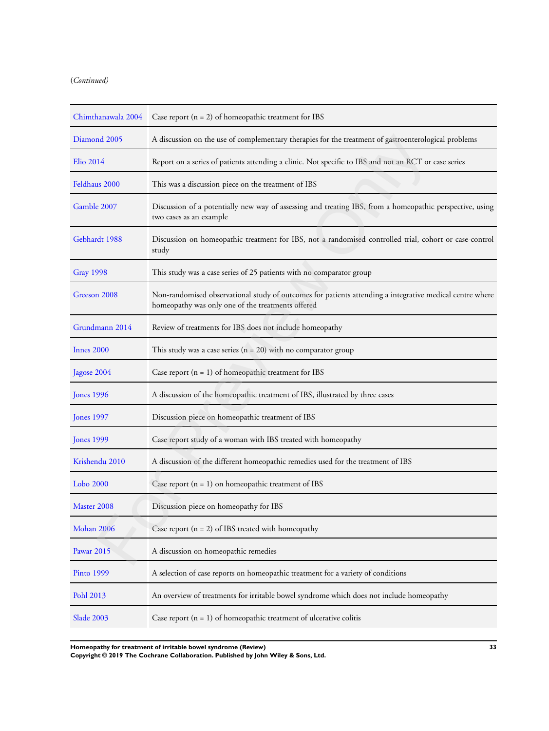# (*Continued)*

| Chimthanawala 2004 | Case report $(n = 2)$ of homeopathic treatment for IBS                                                                                                        |
|--------------------|---------------------------------------------------------------------------------------------------------------------------------------------------------------|
| Diamond 2005       | A discussion on the use of complementary therapies for the treatment of gastroenterological problems                                                          |
| Elio 2014          | Report on a series of patients attending a clinic. Not specific to IBS and not an RCT or case series                                                          |
| Feldhaus 2000      | This was a discussion piece on the treatment of IBS                                                                                                           |
| Gamble 2007        | Discussion of a potentially new way of assessing and treating IBS, from a homeopathic perspective, using<br>two cases as an example                           |
| Gebhardt 1988      | Discussion on homeopathic treatment for IBS, not a randomised controlled trial, cohort or case-control<br>study                                               |
| <b>Gray 1998</b>   | This study was a case series of 25 patients with no comparator group                                                                                          |
| Greeson 2008       | Non-randomised observational study of outcomes for patients attending a integrative medical centre where<br>homeopathy was only one of the treatments offered |
| Grundmann 2014     | Review of treatments for IBS does not include homeopathy                                                                                                      |
| Innes 2000         | This study was a case series $(n = 20)$ with no comparator group                                                                                              |
| Jagose 2004        | Case report $(n = 1)$ of homeopathic treatment for IBS                                                                                                        |
| <b>Jones 1996</b>  | A discussion of the homeopathic treatment of IBS, illustrated by three cases                                                                                  |
| <b>Jones</b> 1997  | Discussion piece on homeopathic treatment of IBS                                                                                                              |
| <b>Jones</b> 1999  | Case report study of a woman with IBS treated with homeopathy                                                                                                 |
| Krishendu 2010     | A discussion of the different homeopathic remedies used for the treatment of IBS                                                                              |
| Lobo 2000          | Case report $(n = 1)$ on homeopathic treatment of IBS                                                                                                         |
| Master 2008        | Discussion piece on homeopathy for IBS                                                                                                                        |
| Mohan 2006         | Case report $(n = 2)$ of IBS treated with homeopathy                                                                                                          |
| Pawar 2015         | A discussion on homeopathic remedies                                                                                                                          |
| Pinto 1999         | A selection of case reports on homeopathic treatment for a variety of conditions                                                                              |
| Pohl 2013          | An overview of treatments for irritable bowel syndrome which does not include homeopathy                                                                      |
| <b>Slade 2003</b>  | Case report $(n = 1)$ of homeopathic treatment of ulcerative colitis                                                                                          |

**Homeopathy for treatment of irritable bowel syndrome (Review) 33**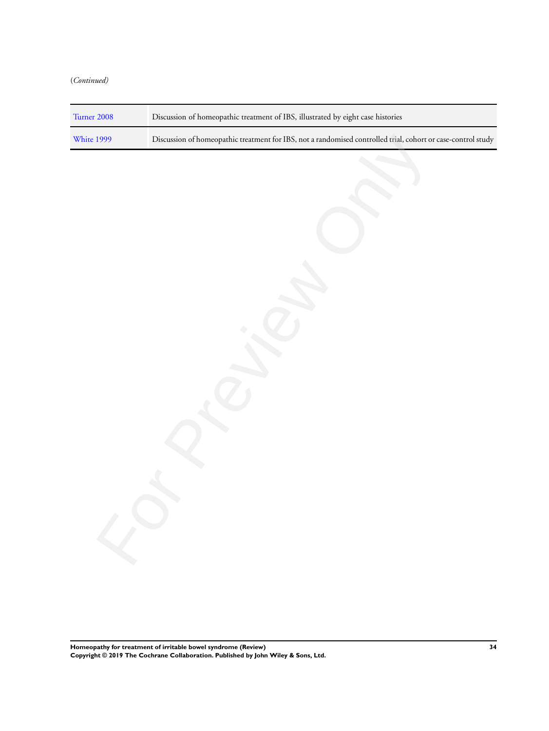# (*Continued)*

| Turner 2008 | Discussion of homeopathic treatment of IBS, illustrated by eight case histories                              |
|-------------|--------------------------------------------------------------------------------------------------------------|
| White 1999  | Discussion of homeopathic treatment for IBS, not a randomised controlled trial, cohort or case-control study |
|             |                                                                                                              |
|             |                                                                                                              |
|             |                                                                                                              |
|             |                                                                                                              |
|             |                                                                                                              |
|             |                                                                                                              |
|             |                                                                                                              |
|             |                                                                                                              |
|             |                                                                                                              |
|             |                                                                                                              |
|             |                                                                                                              |
|             |                                                                                                              |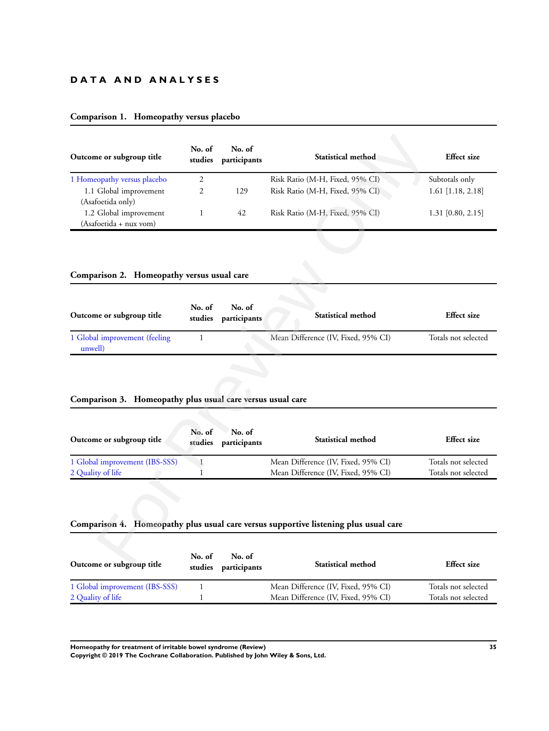# **D A T A A N D A N A L Y S E S**

| Outcome or subgroup title                                  | No. of<br>studies            | No. of<br>participants | Statistical method                                                                   | <b>Effect</b> size                         |
|------------------------------------------------------------|------------------------------|------------------------|--------------------------------------------------------------------------------------|--------------------------------------------|
| 1 Homeopathy versus placebo                                | 2                            |                        | Risk Ratio (M-H, Fixed, 95% CI)                                                      | Subtotals only                             |
| 1.1 Global improvement<br>(Asafoetida only)                | $\overline{2}$               | 129                    | Risk Ratio (M-H, Fixed, 95% CI)                                                      | $1.61$ [1.18, 2.18]                        |
| 1.2 Global improvement<br>(Asafoetida + nux vom)           | $\mathbf{1}$                 | 42                     | Risk Ratio (M-H, Fixed, 95% CI)                                                      | $1.31$ [0.80, 2.15]                        |
| Comparison 2. Homeopathy versus usual care                 |                              |                        |                                                                                      |                                            |
| Outcome or subgroup title                                  | No. of<br>studies            | No. of<br>participants | <b>Statistical method</b>                                                            | <b>Effect</b> size                         |
| 1 Global improvement (feeling<br>unwell)                   | $\mathbf{1}$                 |                        | Mean Difference (IV, Fixed, 95% CI)                                                  | Totals not selected                        |
| Comparison 3. Homeopathy plus usual care versus usual care |                              |                        |                                                                                      |                                            |
| Outcome or subgroup title                                  | No. of<br>studies            | No. of<br>participants | Statistical method                                                                   | <b>Effect</b> size                         |
| 1 Global improvement (IBS-SSS)<br>2 Quality of life        | $\mathbf{1}$<br>$\mathbf{1}$ |                        | Mean Difference (IV, Fixed, 95% CI)<br>Mean Difference (IV, Fixed, 95% CI)           | Totals not selected<br>Totals not selected |
|                                                            |                              |                        |                                                                                      |                                            |
|                                                            |                              |                        | Comparison 4. Homeopathy plus usual care versus supportive listening plus usual care |                                            |
| Outcome or subgroup title                                  | No. of                       | No. of                 | Statistical method                                                                   | $Fff_{\text{ext}}$ $\sin$                  |

# **Comparison 1. Homeopathy versus placebo**

#### **Comparison 2. Homeopathy versus usual care**

| Outcome or subgroup title     | No. of | No. of<br>studies participants | <b>Statistical method</b>           | <b>Effect</b> size  |
|-------------------------------|--------|--------------------------------|-------------------------------------|---------------------|
| 1 Global improvement (feeling |        |                                | Mean Difference (IV, Fixed, 95% CI) | Totals not selected |
| unwell)                       |        |                                |                                     |                     |

# **Comparison 3. Homeopathy plus usual care versus usual care**

| Outcome or subgroup title      | No. of | No. of<br>studies participants | <b>Statistical method</b>           | <b>Effect</b> size  |
|--------------------------------|--------|--------------------------------|-------------------------------------|---------------------|
| 1 Global improvement (IBS-SSS) |        |                                | Mean Difference (IV, Fixed, 95% CI) | Totals not selected |
| 2 Quality of life              |        |                                | Mean Difference (IV, Fixed, 95% CI) | Totals not selected |

# **Comparison 4. Homeopathy plus usual care versus supportive listening plus usual care**

| Outcome or subgroup title      | No. of | No. of<br>studies participants | <b>Statistical method</b>           | <b>Effect</b> size  |
|--------------------------------|--------|--------------------------------|-------------------------------------|---------------------|
| 1 Global improvement (IBS-SSS) |        |                                | Mean Difference (IV, Fixed, 95% CI) | Totals not selected |
| 2 Quality of life              |        |                                | Mean Difference (IV, Fixed, 95% CI) | Totals not selected |

**Homeopathy for treatment of irritable bowel syndrome (Review) 35**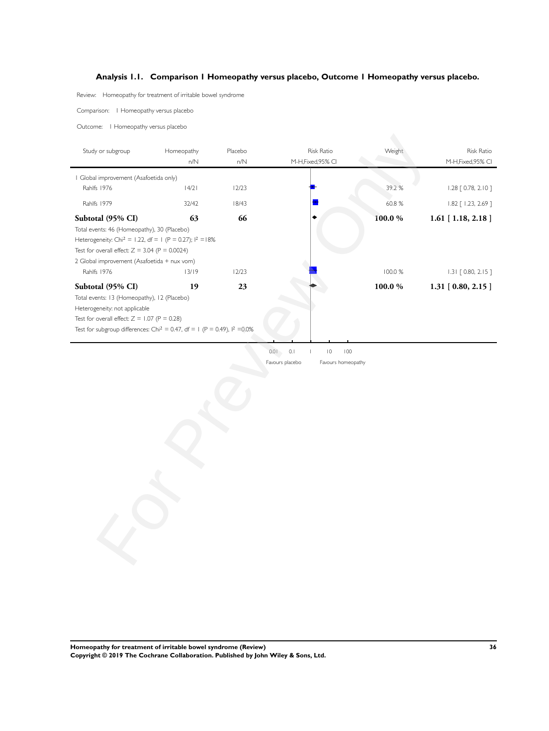# **Analysis 1.1. Comparison 1 Homeopathy versus placebo, Outcome 1 Homeopathy versus placebo.**

Review: Homeopathy for treatment of irritable bowel syndrome

Comparison: 1 Homeopathy versus placebo

Outcome: 1 Homeopathy versus placebo

Ŷ.

| Study or subgroup                                                                                                                                                                                                         | Homeopathy | Placebo | <b>Risk Ratio</b>                                     | Weight  | <b>Risk Ratio</b>          |
|---------------------------------------------------------------------------------------------------------------------------------------------------------------------------------------------------------------------------|------------|---------|-------------------------------------------------------|---------|----------------------------|
|                                                                                                                                                                                                                           | n/N        | n/N     | M-H,Fixed,95% Cl                                      |         | M-H,Fixed,95% Cl           |
| I Global improvement (Asafoetida only)                                                                                                                                                                                    |            |         |                                                       |         |                            |
| Rahlfs 1976                                                                                                                                                                                                               | 4/2        | 12/23   |                                                       | 39.2 %  | 1.28 [ 0.78, 2.10 ]        |
| Rahlfs 1979                                                                                                                                                                                                               | 32/42      | 18/43   |                                                       | 60.8%   | 1.82 [ 1.23, 2.69 ]        |
| Subtotal (95% CI)                                                                                                                                                                                                         | 63         | 66      |                                                       | 100.0%  | $1.61$ [ $1.18$ , $2.18$ ] |
| Total events: 46 (Homeopathy), 30 (Placebo)<br>Heterogeneity: Chi <sup>2</sup> = 1.22, df = 1 (P = 0.27); $1^2 = 18\%$<br>Test for overall effect: $Z = 3.04$ (P = 0.0024)<br>2 Global improvement (Asafoetida + nux vom) |            |         |                                                       |         |                            |
| Rahlfs 1976                                                                                                                                                                                                               | 13/19      | 12/23   |                                                       | 100.0 % | $1.31$ $[0.80, 2.15]$      |
| Subtotal (95% CI)                                                                                                                                                                                                         | 19         | 23      |                                                       | 100.0%  | $1.31$ [ 0.80, 2.15 ]      |
| Heterogeneity: not applicable<br>Test for overall effect: $Z = 1.07$ (P = 0.28)<br>Test for subgroup differences: Chi <sup>2</sup> = 0.47, df = 1 (P = 0.49), $1^2$ =0.0%                                                 |            |         | $0.1$<br>$\overline{0}$<br>100<br>0.01<br>$\mathsf I$ |         |                            |
|                                                                                                                                                                                                                           |            |         | Favours placebo<br>Favours homeopathy                 |         |                            |
|                                                                                                                                                                                                                           |            |         |                                                       |         |                            |
|                                                                                                                                                                                                                           |            |         |                                                       |         |                            |
|                                                                                                                                                                                                                           |            |         |                                                       |         |                            |
|                                                                                                                                                                                                                           |            |         |                                                       |         |                            |
|                                                                                                                                                                                                                           |            |         |                                                       |         |                            |
|                                                                                                                                                                                                                           |            |         |                                                       |         |                            |
|                                                                                                                                                                                                                           |            |         |                                                       |         |                            |
|                                                                                                                                                                                                                           |            |         |                                                       |         |                            |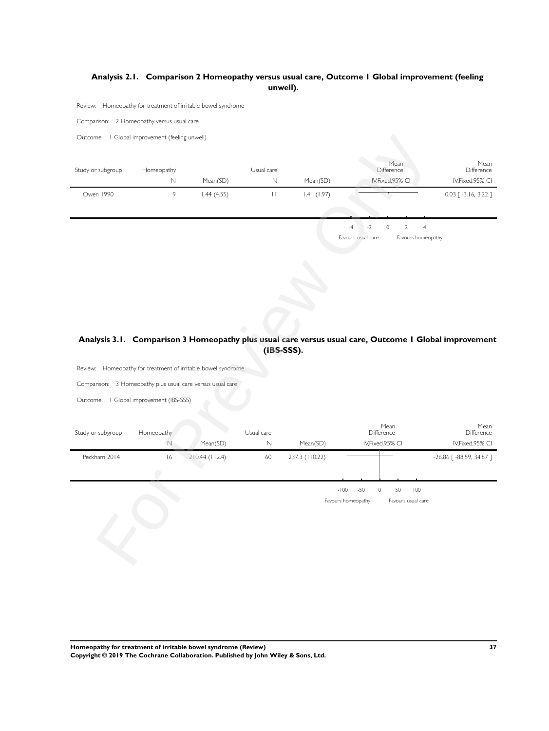# **Analysis 2.1. Comparison 2 Homeopathy versus usual care, Outcome 1 Global improvement (feeling unwell).**

Review: Homeopathy for treatment of irritable bowel syndrome

Comparison: 2 Homeopathy versus usual care

Outcome: 1 Global improvement (feeling unwell)

| Outcome:   Global improvement (feeling unwell) |                            |                                                                                                                            |                          |                |                                                                                                       |                                                        |                                         |
|------------------------------------------------|----------------------------|----------------------------------------------------------------------------------------------------------------------------|--------------------------|----------------|-------------------------------------------------------------------------------------------------------|--------------------------------------------------------|-----------------------------------------|
| Study or subgroup                              | Homeopathy<br>$\mathsf{N}$ | Mean(SD)                                                                                                                   | Usual care<br>N          | Mean(SD)       | Difference<br>IV, Fixed, 95% CI                                                                       | Mean                                                   | Mean<br>Difference<br>IV, Fixed, 95% CI |
| Owen 1990                                      | $\overline{9}$             | 1.44(4.55)                                                                                                                 | $\ \cdot\ $              | 1.41(1.97)     |                                                                                                       |                                                        | $0.03$ $\lceil -3.16, 3.22 \rceil$      |
|                                                |                            |                                                                                                                            |                          |                | $-2$<br>$\circ$<br>$-4$<br>Favours usual care                                                         | $\overline{2}$<br>$\overline{4}$<br>Favours homeopathy |                                         |
| Outcome:   Global improvement (IBS-SSS)        |                            | Review: Homeopathy for treatment of irritable bowel syndrome<br>Comparison: 3 Homeopathy plus usual care versus usual care |                          | (IBS-SSS).     | Analysis 3.1. Comparison 3 Homeopathy plus usual care versus usual care, Outcome I Global improvement |                                                        |                                         |
| Study or subgroup                              | Homeopathy<br>$\mathbb N$  | Mean(SD)                                                                                                                   | Usual care<br>$\hbox{N}$ | Mean(SD)       | Mean<br>Difference<br>IV, Fixed, 95% CI                                                               |                                                        | Mean<br>Difference<br>IV, Fixed, 95% CI |
| Peckham 2014                                   | 16                         | 210.44 (112.4)                                                                                                             | 60                       | 237.3 (110.22) |                                                                                                       |                                                        | -26.86 [-88.59, 34.87]                  |
|                                                |                            |                                                                                                                            |                          |                | $-50$<br>$-100$<br>$\circ$<br>Favours homeopathy                                                      | 50<br>100<br>Favours usual care                        |                                         |

# **Analysis 3.1. Comparison 3 Homeopathy plus usual care versus usual care, Outcome 1 Global improvement (IBS-SSS).**

| Study or subgroup | Homeopathy                   |                  | Usual care |                |        |       | Mean<br>Difference |    |     | Mean<br>Difference            |
|-------------------|------------------------------|------------------|------------|----------------|--------|-------|--------------------|----|-----|-------------------------------|
|                   | N                            | Mean(SD)         | N          | Mean(SD)       |        |       | IV, Fixed, 95% CI  |    |     | IV, Fixed, 95% CI             |
| Peckham 2014      | 16                           | $210.44$ (112.4) | 60         | 237.3 (110.22) |        |       |                    |    |     | $-26.86$ [ $-88.59$ , 34.87 ] |
|                   | and the property of the con- |                  |            |                | $-100$ | $-50$ | $\Omega$           | 50 | 100 |                               |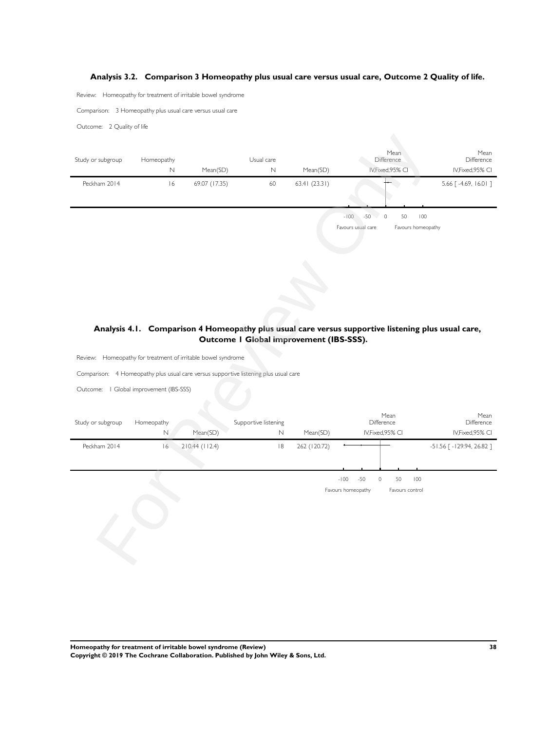#### **Analysis 3.2. Comparison 3 Homeopathy plus usual care versus usual care, Outcome 2 Quality of life.**

Review: Homeopathy for treatment of irritable bowel syndrome

Comparison: 3 Homeopathy plus usual care versus usual care

Outcome: 2 Quality of life



# **Analysis 4.1. Comparison 4 Homeopathy plus usual care versus supportive listening plus usual care, Outcome 1 Global improvement (IBS-SSS).**

Review: Homeopathy for treatment of irritable bowel syndrome

Comparison: 4 Homeopathy plus usual care versus supportive listening plus usual care

Outcome: 1 Global improvement (IBS-SSS)

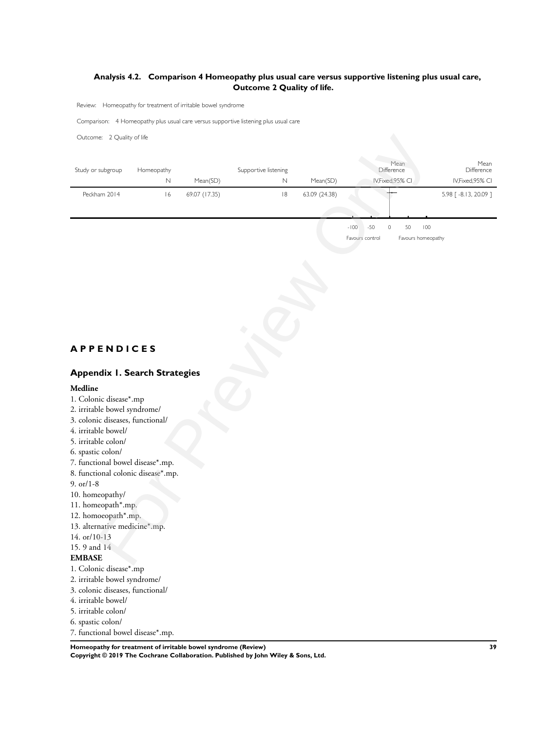# **Analysis 4.2. Comparison 4 Homeopathy plus usual care versus supportive listening plus usual care, Outcome 2 Quality of life.**

Review: Homeopathy for treatment of irritable bowel syndrome

Comparison: 4 Homeopathy plus usual care versus supportive listening plus usual care

Outcome: 2 Quality of life

| Outcome: 2 Quality of life         |                           |               |                                     |               |                                 |                    |                                         |
|------------------------------------|---------------------------|---------------|-------------------------------------|---------------|---------------------------------|--------------------|-----------------------------------------|
| Study or subgroup                  | Homeopathy<br>$\mathbb N$ | Mean(SD)      | Supportive listening<br>$\mathbb N$ | Mean(SD)      | Difference<br>IV, Fixed, 95% CI | Mean               | Mean<br>Difference<br>IV, Fixed, 95% CI |
| Peckham 2014                       | 6                         | 69.07 (17.35) | 8                                   | 63.09 (24.38) |                                 |                    | 5.98 [-8.13, 20.09]                     |
|                                    |                           |               |                                     |               |                                 |                    |                                         |
|                                    |                           |               |                                     |               | $-50$<br>$-100$<br>$\circ$      | 50<br>100          |                                         |
|                                    |                           |               |                                     |               | Favours control                 | Favours homeopathy |                                         |
|                                    |                           |               |                                     |               |                                 |                    |                                         |
|                                    |                           |               |                                     |               |                                 |                    |                                         |
|                                    |                           |               |                                     |               |                                 |                    |                                         |
|                                    |                           |               |                                     |               |                                 |                    |                                         |
|                                    |                           |               |                                     |               |                                 |                    |                                         |
|                                    |                           |               |                                     |               |                                 |                    |                                         |
|                                    |                           |               |                                     |               |                                 |                    |                                         |
|                                    |                           |               |                                     |               |                                 |                    |                                         |
| <b>APPENDICES</b>                  |                           |               |                                     |               |                                 |                    |                                         |
|                                    |                           |               |                                     |               |                                 |                    |                                         |
| Appendix I. Search Strategies      |                           |               |                                     |               |                                 |                    |                                         |
| Medline                            |                           |               |                                     |               |                                 |                    |                                         |
| 1. Colonic disease*.mp             |                           |               |                                     |               |                                 |                    |                                         |
| 2. irritable bowel syndrome/       |                           |               |                                     |               |                                 |                    |                                         |
| 3. colonic diseases, functional/   |                           |               |                                     |               |                                 |                    |                                         |
| 4. irritable bowel/                |                           |               |                                     |               |                                 |                    |                                         |
| 5. irritable colon/                |                           |               |                                     |               |                                 |                    |                                         |
| 5. spastic colon/                  |                           |               |                                     |               |                                 |                    |                                         |
| 7. functional bowel disease*.mp.   |                           |               |                                     |               |                                 |                    |                                         |
| 8. functional colonic disease*.mp. |                           |               |                                     |               |                                 |                    |                                         |
| $0.$ or/1-8                        |                           |               |                                     |               |                                 |                    |                                         |
| 10. homeopathy/                    |                           |               |                                     |               |                                 |                    |                                         |
| 11. homeopath*.mp.                 |                           |               |                                     |               |                                 |                    |                                         |
| 12. homoeopath*.mp.                |                           |               |                                     |               |                                 |                    |                                         |
| 13. alternative medicine*.mp.      |                           |               |                                     |               |                                 |                    |                                         |
| 14. or/10-13                       |                           |               |                                     |               |                                 |                    |                                         |
| 15.9 and 14                        |                           |               |                                     |               |                                 |                    |                                         |
| <b>EMBASE</b>                      |                           |               |                                     |               |                                 |                    |                                         |
|                                    |                           |               |                                     |               |                                 |                    |                                         |

# **A P P E N D I C E S**

# **Appendix 1. Search Strategies**

#### **Medline**

- 1. Colonic disease\*.mp
- 2. irritable bowel syndrome/
- 3. colonic diseases, functional/
- 4. irritable bowel/
- 5. irritable colon/
- 6. spastic colon/
- 7. functional bowel disease\*.mp.
- 8. functional colonic disease\*.mp.
- 9. or/1-8
- 10. homeopathy/
- 11. homeopath\*.mp.
- 12. homoeopath\*.mp.
- 13. alternative medicine\*.mp.
- 14. or/10-13
- 15. 9 and 14

#### **EMBASE**

- 1. Colonic disease\*.mp
- 2. irritable bowel syndrome/
- 3. colonic diseases, functional/
- 4. irritable bowel/
- 5. irritable colon/
- 6. spastic colon/

7. functional bowel disease\*.mp.

**Homeopathy for treatment of irritable bowel syndrome (Review) 39 Copyright © 2019 The Cochrane Collaboration. Published by John Wiley & Sons, Ltd.**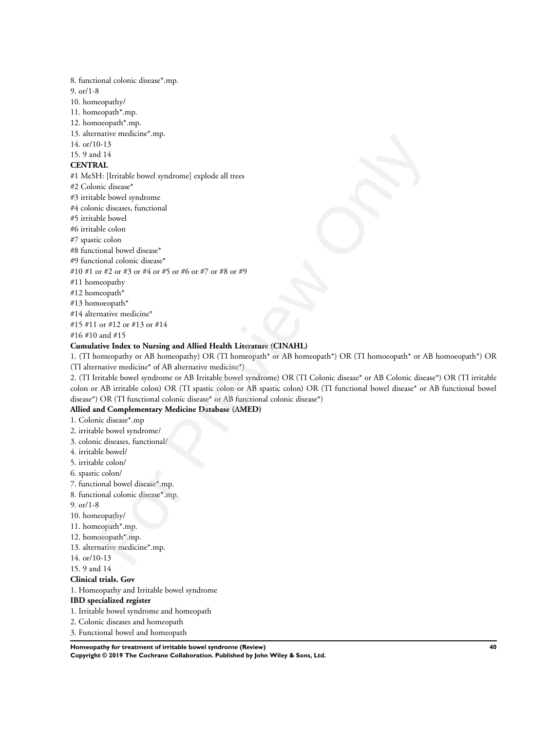8. functional colonic disease\*.mp. 9. or/1-8 10. homeopathy/ 11. homeopath\*.mp. 12. homoeopath\*.mp. 13. alternative medicine\*.mp. 14. or/10-13 15. 9 and 14 **CENTRAL** #1 MeSH: [Irritable bowel syndrome] explode all trees #2 Colonic disease\* #3 irritable bowel syndrome #4 colonic diseases, functional #5 irritable bowel #6 irritable colon #7 spastic colon #8 functional bowel disease\* #9 functional colonic disease\* #10 #1 or #2 or #3 or #4 or #5 or #6 or #7 or #8 or #9 #11 homeopathy #12 homeopath\* #13 homoeopath\* #14 alternative medicine\* #15 #11 or #12 or #13 or #14 #16 #10 and #15 mate measure and prior<br>  $\theta$  14 14<br>
14 14<br>
16 13<br>
16 17<br>
16 17<br>
16 The Universe of Source of Source of Source of Source of Source of Source<br>
Incidendicated by the other case of Source of Source of Source of Source<br>
16 Col

#### **Cumulative Index to Nursing and Allied Health Literature (CINAHL)**

1. (TI homeopathy or AB homeopathy) OR (TI homeopath\* or AB homeopath\*) OR (TI homoeopath\* or AB homoeopath\*) OR (TI alternative medicine\* of AB alternative medicine\*)

2. (TI Irritable bowel syndrome or AB Irritable bowel syndrome) OR (TI Colonic disease\* or AB Colonic disease\*) OR (TI irritable colon or AB irritable colon) OR (TI spastic colon or AB spastic colon) OR (TI functional bowel disease\* or AB functional bowel disease\*) OR (TI functional colonic disease\* or AB functional colonic disease\*)

#### **Allied and Complementary Medicine Database (AMED)**

1. Colonic disease\*.mp

- 2. irritable bowel syndrome/
- 3. colonic diseases, functional/
- 4. irritable bowel/
- 5. irritable colon/
- 6. spastic colon/
- 7. functional bowel disease\*.mp.
- 8. functional colonic disease\*.mp.
- 9. or/1-8
- 10. homeopathy/
- 11. homeopath\*.mp.
- 12. homoeopath\*.mp.
- 13. alternative medicine\*.mp.
- 14. or/10-13
- 15. 9 and 14

#### **Clinical trials. Gov**

1. Homeopathy and Irritable bowel syndrome

#### **IBD specialized register**

- 1. Irritable bowel syndrome and homeopath
- 2. Colonic diseases and homeopath
- 3. Functional bowel and homeopath

**Homeopathy for treatment of irritable bowel syndrome (Review) 40 Copyright © 2019 The Cochrane Collaboration. Published by John Wiley & Sons, Ltd.**